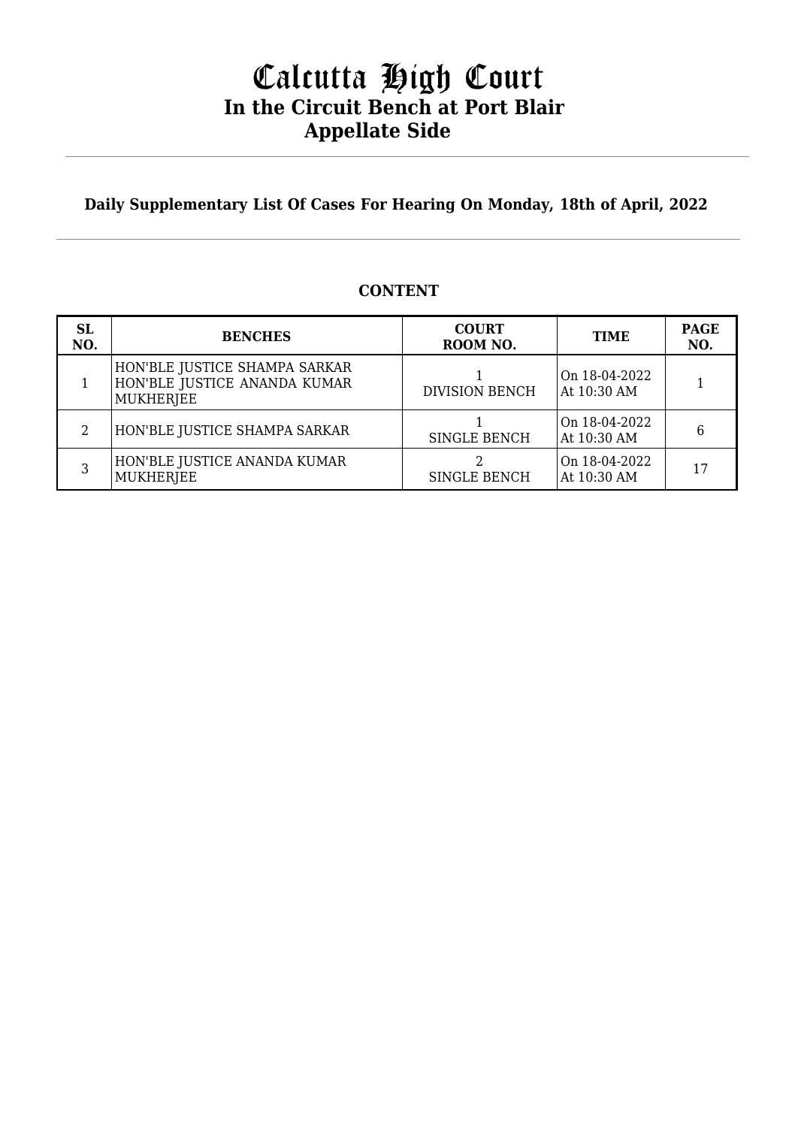# Calcutta High Court **In the Circuit Bench at Port Blair Appellate Side**

**Daily Supplementary List Of Cases For Hearing On Monday, 18th of April, 2022**

## **CONTENT**

| SL<br>NO. | <b>BENCHES</b>                                                             | <b>COURT</b><br>ROOM NO. | <b>TIME</b>                  | <b>PAGE</b><br>NO. |
|-----------|----------------------------------------------------------------------------|--------------------------|------------------------------|--------------------|
|           | HON'BLE JUSTICE SHAMPA SARKAR<br>HON'BLE JUSTICE ANANDA KUMAR<br>MUKHERJEE | <b>DIVISION BENCH</b>    | On 18-04-2022<br>At 10:30 AM |                    |
|           | HON'BLE JUSTICE SHAMPA SARKAR                                              | <b>SINGLE BENCH</b>      | On 18-04-2022<br>At 10:30 AM | 6                  |
|           | HON'BLE JUSTICE ANANDA KUMAR<br><b>MUKHERJEE</b>                           | <b>SINGLE BENCH</b>      | On 18-04-2022<br>At 10:30 AM |                    |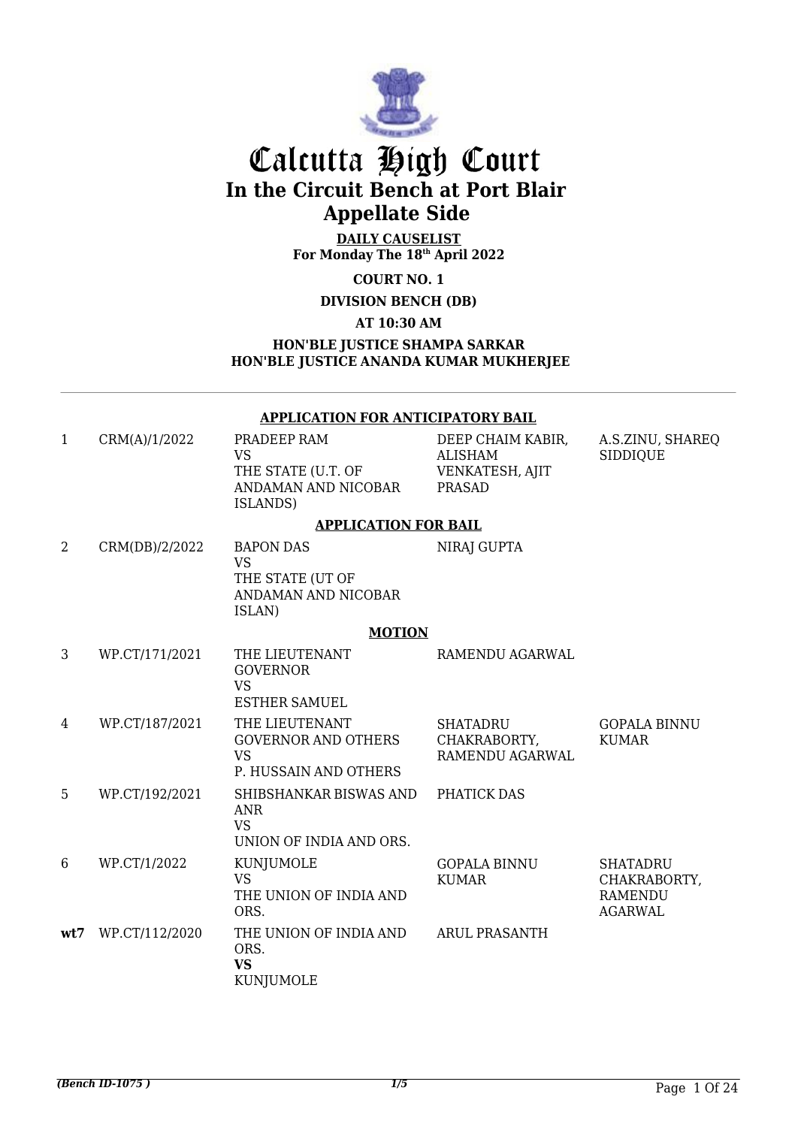

# Calcutta High Court **In the Circuit Bench at Port Blair Appellate Side**

**DAILY CAUSELIST For Monday The 18th April 2022**

**COURT NO. 1**

**DIVISION BENCH (DB)** 

**AT 10:30 AM**

**HON'BLE JUSTICE SHAMPA SARKAR HON'BLE JUSTICE ANANDA KUMAR MUKHERJEE**

### **APPLICATION FOR ANTICIPATORY BAIL**

| $\mathbf 1$ | CRM(A)/1/2022  | PRADEEP RAM<br><b>VS</b><br>THE STATE (U.T. OF<br>ANDAMAN AND NICOBAR<br>ISLANDS)  | DEEP CHAIM KABIR,<br><b>ALISHAM</b><br>VENKATESH, AJIT<br><b>PRASAD</b> | A.S.ZINU, SHAREQ<br><b>SIDDIQUE</b>                                 |
|-------------|----------------|------------------------------------------------------------------------------------|-------------------------------------------------------------------------|---------------------------------------------------------------------|
|             |                | <b>APPLICATION FOR BAIL</b>                                                        |                                                                         |                                                                     |
| 2           | CRM(DB)/2/2022 | <b>BAPON DAS</b><br><b>VS</b><br>THE STATE (UT OF<br>ANDAMAN AND NICOBAR<br>ISLAN) | NIRAJ GUPTA                                                             |                                                                     |
|             |                | <b>MOTION</b>                                                                      |                                                                         |                                                                     |
| 3           | WP.CT/171/2021 | THE LIEUTENANT<br><b>GOVERNOR</b><br><b>VS</b><br><b>ESTHER SAMUEL</b>             | RAMENDU AGARWAL                                                         |                                                                     |
| 4           | WP.CT/187/2021 | THE LIEUTENANT<br><b>GOVERNOR AND OTHERS</b><br><b>VS</b><br>P. HUSSAIN AND OTHERS | <b>SHATADRU</b><br>CHAKRABORTY,<br>RAMENDU AGARWAL                      | <b>GOPALA BINNU</b><br><b>KUMAR</b>                                 |
| 5           | WP.CT/192/2021 | SHIBSHANKAR BISWAS AND<br><b>ANR</b><br><b>VS</b><br>UNION OF INDIA AND ORS.       | PHATICK DAS                                                             |                                                                     |
| 6           | WP.CT/1/2022   | KUNJUMOLE<br><b>VS</b><br>THE UNION OF INDIA AND<br>ORS.                           | <b>GOPALA BINNU</b><br><b>KUMAR</b>                                     | <b>SHATADRU</b><br>CHAKRABORTY,<br><b>RAMENDU</b><br><b>AGARWAL</b> |
| wt7         | WP.CT/112/2020 | THE UNION OF INDIA AND<br>ORS.<br><b>VS</b><br>KUNJUMOLE                           | <b>ARUL PRASANTH</b>                                                    |                                                                     |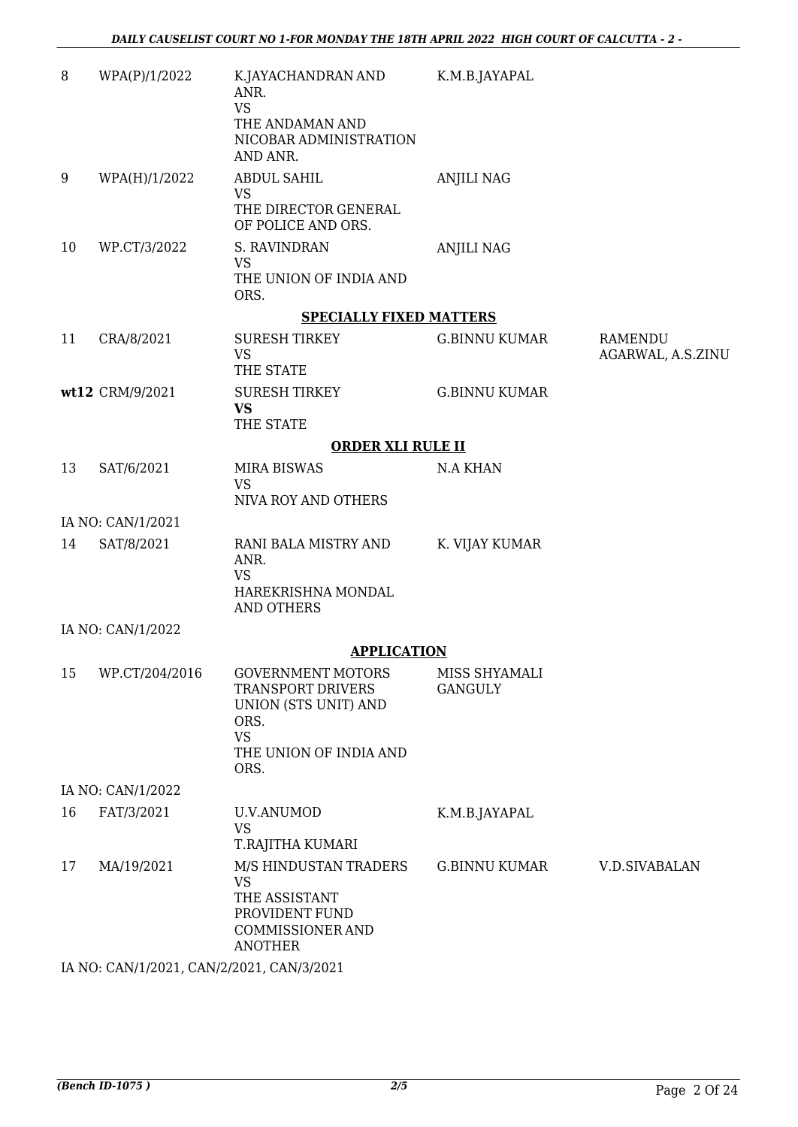| 8  | WPA(P)/1/2022     | K.JAYACHANDRAN AND<br>ANR.<br><b>VS</b>                                                                                             | K.M.B.JAYAPAL                   |                              |
|----|-------------------|-------------------------------------------------------------------------------------------------------------------------------------|---------------------------------|------------------------------|
|    |                   | THE ANDAMAN AND<br>NICOBAR ADMINISTRATION<br>AND ANR.                                                                               |                                 |                              |
| 9  | WPA(H)/1/2022     | <b>ABDUL SAHIL</b><br><b>VS</b>                                                                                                     | <b>ANJILI NAG</b>               |                              |
|    |                   | THE DIRECTOR GENERAL<br>OF POLICE AND ORS.                                                                                          |                                 |                              |
| 10 | WP.CT/3/2022      | S. RAVINDRAN<br><b>VS</b><br>THE UNION OF INDIA AND                                                                                 | <b>ANJILI NAG</b>               |                              |
|    |                   | ORS.                                                                                                                                |                                 |                              |
|    |                   | <b>SPECIALLY FIXED MATTERS</b>                                                                                                      |                                 |                              |
| 11 | CRA/8/2021        | <b>SURESH TIRKEY</b><br><b>VS</b><br>THE STATE                                                                                      | <b>G.BINNU KUMAR</b>            | RAMENDU<br>AGARWAL, A.S.ZINU |
|    | wt12 CRM/9/2021   | <b>SURESH TIRKEY</b><br><b>VS</b><br>THE STATE                                                                                      | <b>G.BINNU KUMAR</b>            |                              |
|    |                   | <b>ORDER XLI RULE II</b>                                                                                                            |                                 |                              |
| 13 | SAT/6/2021        | <b>MIRA BISWAS</b>                                                                                                                  | <b>N.A KHAN</b>                 |                              |
|    |                   | <b>VS</b><br>NIVA ROY AND OTHERS                                                                                                    |                                 |                              |
|    | IA NO: CAN/1/2021 |                                                                                                                                     |                                 |                              |
| 14 | SAT/8/2021        | RANI BALA MISTRY AND<br>ANR.<br><b>VS</b>                                                                                           | K. VIJAY KUMAR                  |                              |
|    |                   | HAREKRISHNA MONDAL<br>AND OTHERS                                                                                                    |                                 |                              |
|    | IA NO: CAN/1/2022 |                                                                                                                                     |                                 |                              |
|    |                   | <b>APPLICATION</b>                                                                                                                  |                                 |                              |
| 15 | WP.CT/204/2016    | <b>GOVERNMENT MOTORS</b><br><b>TRANSPORT DRIVERS</b><br>UNION (STS UNIT) AND<br>ORS.<br><b>VS</b><br>THE UNION OF INDIA AND<br>ORS. | MISS SHYAMALI<br><b>GANGULY</b> |                              |
|    | IA NO: CAN/1/2022 |                                                                                                                                     |                                 |                              |
| 16 | FAT/3/2021        | <b>U.V.ANUMOD</b><br><b>VS</b><br>T.RAJITHA KUMARI                                                                                  | K.M.B.JAYAPAL                   |                              |
| 17 | MA/19/2021        | M/S HINDUSTAN TRADERS<br><b>VS</b><br>THE ASSISTANT<br>PROVIDENT FUND<br>COMMISSIONER AND<br><b>ANOTHER</b>                         | <b>G.BINNU KUMAR</b>            | <b>V.D.SIVABALAN</b>         |
|    |                   | IA NO: CAN/1/2021, CAN/2/2021, CAN/3/2021                                                                                           |                                 |                              |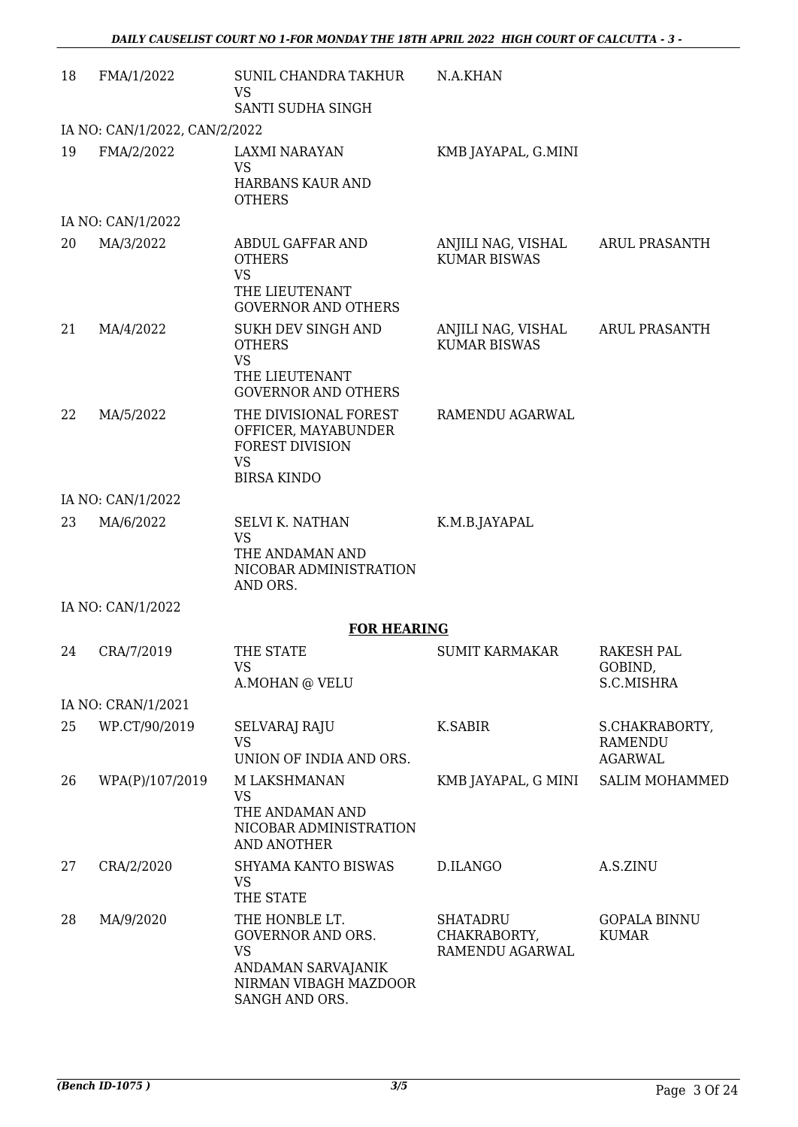| 18 | FMA/1/2022                    | SUNIL CHANDRA TAKHUR<br><b>VS</b><br>SANTI SUDHA SINGH                                                                   | N.A.KHAN                                           |                                                    |
|----|-------------------------------|--------------------------------------------------------------------------------------------------------------------------|----------------------------------------------------|----------------------------------------------------|
|    | IA NO: CAN/1/2022, CAN/2/2022 |                                                                                                                          |                                                    |                                                    |
| 19 | FMA/2/2022                    | <b>LAXMI NARAYAN</b><br><b>VS</b><br>HARBANS KAUR AND<br><b>OTHERS</b>                                                   | KMB JAYAPAL, G.MINI                                |                                                    |
|    | IA NO: CAN/1/2022             |                                                                                                                          |                                                    |                                                    |
| 20 | MA/3/2022                     | ABDUL GAFFAR AND<br><b>OTHERS</b><br><b>VS</b><br>THE LIEUTENANT<br><b>GOVERNOR AND OTHERS</b>                           | ANJILI NAG, VISHAL<br><b>KUMAR BISWAS</b>          | <b>ARUL PRASANTH</b>                               |
| 21 | MA/4/2022                     | SUKH DEV SINGH AND<br><b>OTHERS</b><br><b>VS</b><br>THE LIEUTENANT<br><b>GOVERNOR AND OTHERS</b>                         | ANJILI NAG, VISHAL<br><b>KUMAR BISWAS</b>          | <b>ARUL PRASANTH</b>                               |
| 22 | MA/5/2022                     | THE DIVISIONAL FOREST<br>OFFICER, MAYABUNDER<br><b>FOREST DIVISION</b><br><b>VS</b><br><b>BIRSA KINDO</b>                | RAMENDU AGARWAL                                    |                                                    |
|    | IA NO: CAN/1/2022             |                                                                                                                          |                                                    |                                                    |
| 23 | MA/6/2022                     | <b>SELVI K. NATHAN</b><br><b>VS</b><br>THE ANDAMAN AND<br>NICOBAR ADMINISTRATION<br>AND ORS.                             | K.M.B.JAYAPAL                                      |                                                    |
|    | IA NO: CAN/1/2022             |                                                                                                                          |                                                    |                                                    |
|    |                               | <b>FOR HEARING</b>                                                                                                       |                                                    |                                                    |
| 24 | CRA/7/2019                    | THE STATE<br>VS<br>A.MOHAN @ VELU                                                                                        | <b>SUMIT KARMAKAR</b>                              | <b>RAKESH PAL</b><br>GOBIND,<br>S.C.MISHRA         |
|    | IA NO: CRAN/1/2021            |                                                                                                                          |                                                    |                                                    |
| 25 | WP.CT/90/2019                 | SELVARAJ RAJU<br><b>VS</b><br>UNION OF INDIA AND ORS.                                                                    | <b>K.SABIR</b>                                     | S.CHAKRABORTY,<br><b>RAMENDU</b><br><b>AGARWAL</b> |
| 26 | WPA(P)/107/2019               | M LAKSHMANAN<br>VS<br>THE ANDAMAN AND<br>NICOBAR ADMINISTRATION<br><b>AND ANOTHER</b>                                    | KMB JAYAPAL, G MINI                                | <b>SALIM MOHAMMED</b>                              |
| 27 | CRA/2/2020                    | SHYAMA KANTO BISWAS<br><b>VS</b><br>THE STATE                                                                            | D.ILANGO                                           | A.S.ZINU                                           |
| 28 | MA/9/2020                     | THE HONBLE LT.<br><b>GOVERNOR AND ORS.</b><br><b>VS</b><br>ANDAMAN SARVAJANIK<br>NIRMAN VIBAGH MAZDOOR<br>SANGH AND ORS. | <b>SHATADRU</b><br>CHAKRABORTY,<br>RAMENDU AGARWAL | <b>GOPALA BINNU</b><br><b>KUMAR</b>                |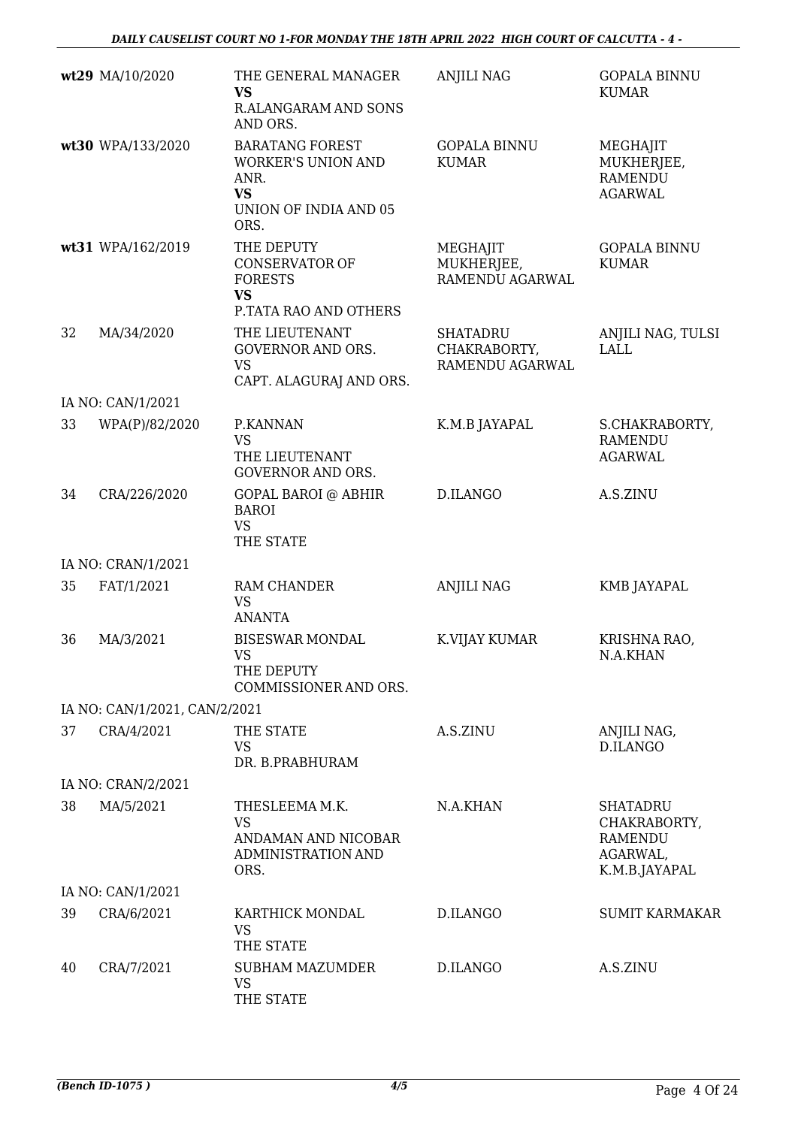|    | wt29 MA/10/2020               | THE GENERAL MANAGER<br><b>VS</b><br>R.ALANGARAM AND SONS<br>AND ORS.                                      | <b>ANJILI NAG</b>                                  | <b>GOPALA BINNU</b><br><b>KUMAR</b>                                            |
|----|-------------------------------|-----------------------------------------------------------------------------------------------------------|----------------------------------------------------|--------------------------------------------------------------------------------|
|    | wt30 WPA/133/2020             | <b>BARATANG FOREST</b><br><b>WORKER'S UNION AND</b><br>ANR.<br><b>VS</b><br>UNION OF INDIA AND 05<br>ORS. | <b>GOPALA BINNU</b><br><b>KUMAR</b>                | MEGHAJIT<br>MUKHERJEE,<br><b>RAMENDU</b><br><b>AGARWAL</b>                     |
|    | wt31 WPA/162/2019             | THE DEPUTY<br><b>CONSERVATOR OF</b><br><b>FORESTS</b><br><b>VS</b><br>P.TATA RAO AND OTHERS               | MEGHAJIT<br>MUKHERJEE,<br>RAMENDU AGARWAL          | <b>GOPALA BINNU</b><br><b>KUMAR</b>                                            |
| 32 | MA/34/2020                    | THE LIEUTENANT<br>GOVERNOR AND ORS.<br><b>VS</b><br>CAPT. ALAGURAJ AND ORS.                               | <b>SHATADRU</b><br>CHAKRABORTY,<br>RAMENDU AGARWAL | ANJILI NAG, TULSI<br><b>LALL</b>                                               |
|    | IA NO: CAN/1/2021             |                                                                                                           |                                                    |                                                                                |
| 33 | WPA(P)/82/2020                | P.KANNAN<br><b>VS</b><br>THE LIEUTENANT<br><b>GOVERNOR AND ORS.</b>                                       | K.M.B JAYAPAL                                      | S.CHAKRABORTY,<br><b>RAMENDU</b><br><b>AGARWAL</b>                             |
| 34 | CRA/226/2020                  | <b>GOPAL BAROI @ ABHIR</b><br><b>BAROI</b><br><b>VS</b><br>THE STATE                                      | D.ILANGO                                           | A.S.ZINU                                                                       |
|    | IA NO: CRAN/1/2021            |                                                                                                           |                                                    |                                                                                |
| 35 | FAT/1/2021                    | RAM CHANDER<br><b>VS</b><br><b>ANANTA</b>                                                                 | <b>ANJILI NAG</b>                                  | <b>KMB JAYAPAL</b>                                                             |
| 36 | MA/3/2021                     | <b>BISESWAR MONDAL</b><br><b>VS</b><br>THE DEPUTY<br>COMMISSIONER AND ORS.                                | K.VIJAY KUMAR                                      | KRISHNA RAO,<br>N.A.KHAN                                                       |
|    | IA NO: CAN/1/2021, CAN/2/2021 |                                                                                                           |                                                    |                                                                                |
| 37 | CRA/4/2021                    | THE STATE<br><b>VS</b><br>DR. B.PRABHURAM                                                                 | A.S.ZINU                                           | ANJILI NAG,<br>D.ILANGO                                                        |
|    | IA NO: CRAN/2/2021            |                                                                                                           |                                                    |                                                                                |
| 38 | MA/5/2021                     | THESLEEMA M.K.<br><b>VS</b><br>ANDAMAN AND NICOBAR<br>ADMINISTRATION AND<br>ORS.                          | N.A.KHAN                                           | <b>SHATADRU</b><br>CHAKRABORTY,<br><b>RAMENDU</b><br>AGARWAL,<br>K.M.B.JAYAPAL |
|    | IA NO: CAN/1/2021             |                                                                                                           |                                                    |                                                                                |
| 39 | CRA/6/2021                    | KARTHICK MONDAL<br><b>VS</b><br>THE STATE                                                                 | D.ILANGO                                           | <b>SUMIT KARMAKAR</b>                                                          |
| 40 | CRA/7/2021                    | <b>SUBHAM MAZUMDER</b><br><b>VS</b><br>THE STATE                                                          | D.ILANGO                                           | A.S.ZINU                                                                       |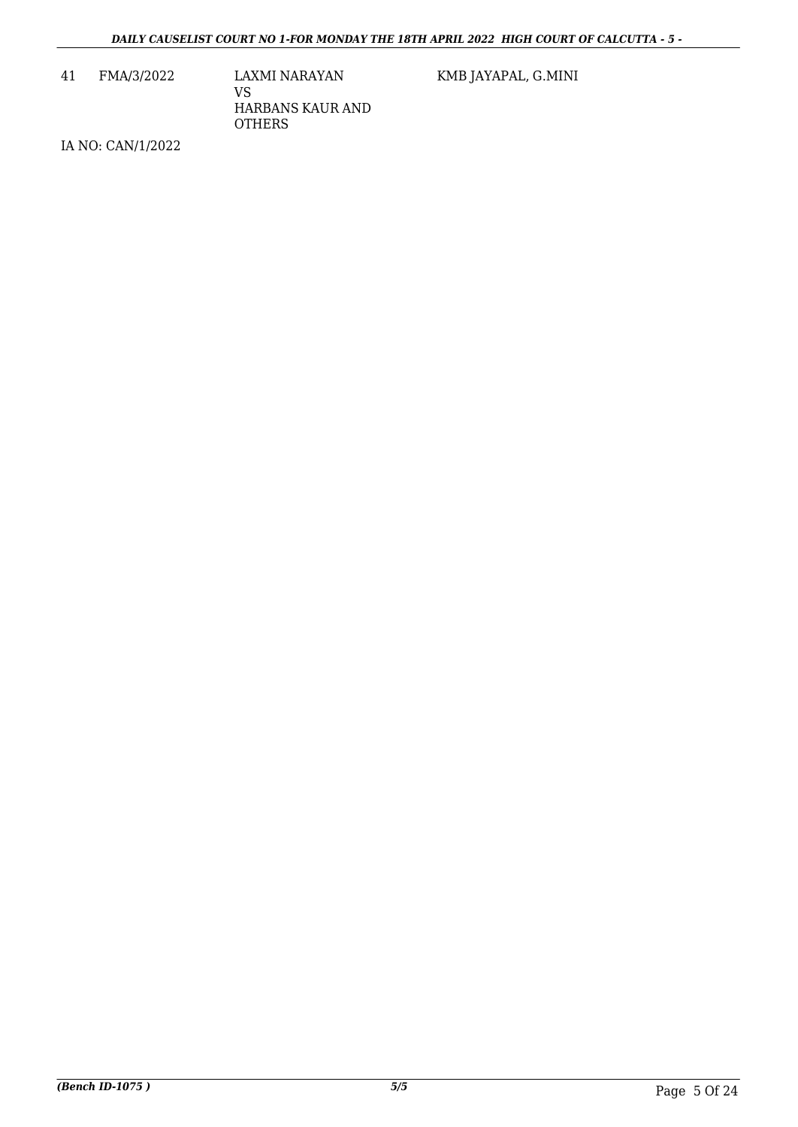41 FMA/3/2022 LAXMI NARAYAN VS HARBANS KAUR AND **OTHERS** 

KMB JAYAPAL, G.MINI

IA NO: CAN/1/2022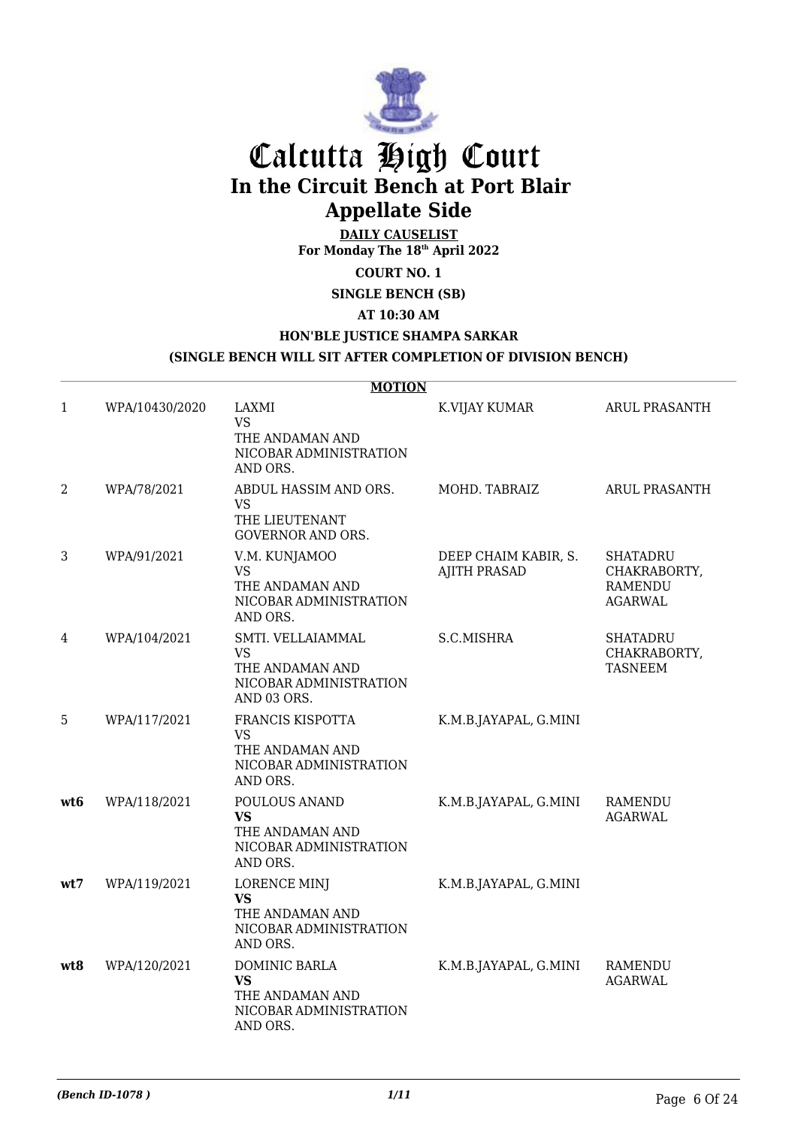

# Calcutta High Court **In the Circuit Bench at Port Blair Appellate Side**

**DAILY CAUSELIST For Monday The 18th April 2022**

**COURT NO. 1**

**SINGLE BENCH (SB)** 

**AT 10:30 AM**

### **HON'BLE JUSTICE SHAMPA SARKAR**

#### **(SINGLE BENCH WILL SIT AFTER COMPLETION OF DIVISION BENCH)**

|      |                | <b>MOTION</b>                                                                              |                                             |                                                                     |
|------|----------------|--------------------------------------------------------------------------------------------|---------------------------------------------|---------------------------------------------------------------------|
| 1    | WPA/10430/2020 | LAXMI<br><b>VS</b><br>THE ANDAMAN AND<br>NICOBAR ADMINISTRATION<br>AND ORS.                | K.VIJAY KUMAR                               | <b>ARUL PRASANTH</b>                                                |
| 2    | WPA/78/2021    | ABDUL HASSIM AND ORS.<br><b>VS</b><br>THE LIEUTENANT<br><b>GOVERNOR AND ORS.</b>           | MOHD. TABRAIZ                               | ARUL PRASANTH                                                       |
| 3    | WPA/91/2021    | V.M. KUNJAMOO<br><b>VS</b><br>THE ANDAMAN AND<br>NICOBAR ADMINISTRATION<br>AND ORS.        | DEEP CHAIM KABIR, S.<br><b>AJITH PRASAD</b> | <b>SHATADRU</b><br>CHAKRABORTY,<br><b>RAMENDU</b><br><b>AGARWAL</b> |
| 4    | WPA/104/2021   | SMTI. VELLAIAMMAL<br><b>VS</b><br>THE ANDAMAN AND<br>NICOBAR ADMINISTRATION<br>AND 03 ORS. | S.C.MISHRA                                  | <b>SHATADRU</b><br>CHAKRABORTY,<br><b>TASNEEM</b>                   |
| 5    | WPA/117/2021   | FRANCIS KISPOTTA<br><b>VS</b><br>THE ANDAMAN AND<br>NICOBAR ADMINISTRATION<br>AND ORS.     | K.M.B.JAYAPAL, G.MINI                       |                                                                     |
| wt6  | WPA/118/2021   | POULOUS ANAND<br><b>VS</b><br>THE ANDAMAN AND<br>NICOBAR ADMINISTRATION<br>AND ORS.        | K.M.B.JAYAPAL, G.MINI                       | <b>RAMENDU</b><br><b>AGARWAL</b>                                    |
| wt:7 | WPA/119/2021   | <b>LORENCE MINJ</b><br><b>VS</b><br>THE ANDAMAN AND<br>NICOBAR ADMINISTRATION<br>AND ORS.  | K.M.B.JAYAPAL, G.MINI                       |                                                                     |
| wt8  | WPA/120/2021   | DOMINIC BARLA<br><b>VS</b><br>THE ANDAMAN AND<br>NICOBAR ADMINISTRATION<br>AND ORS.        | K.M.B.JAYAPAL, G.MINI                       | <b>RAMENDU</b><br><b>AGARWAL</b>                                    |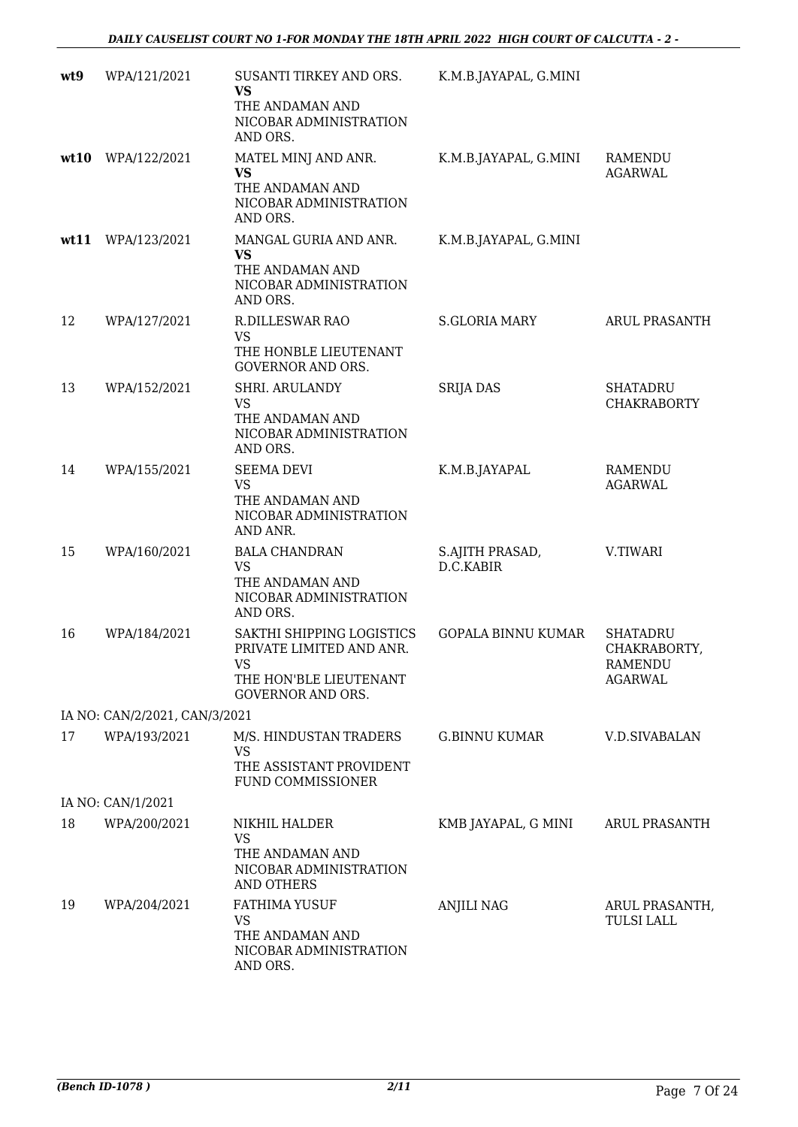| wt9  | WPA/121/2021                  | SUSANTI TIRKEY AND ORS.<br><b>VS</b><br>THE ANDAMAN AND<br>NICOBAR ADMINISTRATION<br>AND ORS.                      | K.M.B.JAYAPAL, G.MINI        |                                                              |
|------|-------------------------------|--------------------------------------------------------------------------------------------------------------------|------------------------------|--------------------------------------------------------------|
| wt10 | WPA/122/2021                  | MATEL MINJ AND ANR.<br><b>VS</b><br>THE ANDAMAN AND<br>NICOBAR ADMINISTRATION<br>AND ORS.                          | K.M.B.JAYAPAL, G.MINI        | RAMENDU<br><b>AGARWAL</b>                                    |
|      | wt11 WPA/123/2021             | MANGAL GURIA AND ANR.<br><b>VS</b><br>THE ANDAMAN AND<br>NICOBAR ADMINISTRATION<br>AND ORS.                        | K.M.B.JAYAPAL, G.MINI        |                                                              |
| 12   | WPA/127/2021                  | R.DILLESWAR RAO<br><b>VS</b><br>THE HONBLE LIEUTENANT<br><b>GOVERNOR AND ORS.</b>                                  | <b>S.GLORIA MARY</b>         | <b>ARUL PRASANTH</b>                                         |
| 13   | WPA/152/2021                  | SHRI. ARULANDY<br><b>VS</b><br>THE ANDAMAN AND<br>NICOBAR ADMINISTRATION<br>AND ORS.                               | <b>SRIJA DAS</b>             | <b>SHATADRU</b><br><b>CHAKRABORTY</b>                        |
| 14   | WPA/155/2021                  | <b>SEEMA DEVI</b><br><b>VS</b><br>THE ANDAMAN AND<br>NICOBAR ADMINISTRATION<br>AND ANR.                            | K.M.B.JAYAPAL                | <b>RAMENDU</b><br><b>AGARWAL</b>                             |
| 15   | WPA/160/2021                  | <b>BALA CHANDRAN</b><br><b>VS</b><br>THE ANDAMAN AND<br>NICOBAR ADMINISTRATION<br>AND ORS.                         | S.AJITH PRASAD,<br>D.C.KABIR | V.TIWARI                                                     |
| 16   | WPA/184/2021                  | SAKTHI SHIPPING LOGISTICS<br>PRIVATE LIMITED AND ANR.<br>VS.<br>THE HON'BLE LIEUTENANT<br><b>GOVERNOR AND ORS.</b> | <b>GOPALA BINNU KUMAR</b>    | <b>SHATADRU</b><br>CHAKRABORTY,<br>RAMENDU<br><b>AGARWAL</b> |
|      | IA NO: CAN/2/2021, CAN/3/2021 |                                                                                                                    |                              |                                                              |
| 17   | WPA/193/2021                  | M/S. HINDUSTAN TRADERS<br><b>VS</b><br>THE ASSISTANT PROVIDENT<br><b>FUND COMMISSIONER</b>                         | <b>G.BINNU KUMAR</b>         | <b>V.D.SIVABALAN</b>                                         |
|      | IA NO: CAN/1/2021             |                                                                                                                    |                              |                                                              |
| 18   | WPA/200/2021                  | NIKHIL HALDER<br><b>VS</b><br>THE ANDAMAN AND<br>NICOBAR ADMINISTRATION<br><b>AND OTHERS</b>                       | KMB JAYAPAL, G MINI          | ARUL PRASANTH                                                |
| 19   | WPA/204/2021                  | <b>FATHIMA YUSUF</b><br><b>VS</b><br>THE ANDAMAN AND<br>NICOBAR ADMINISTRATION<br>AND ORS.                         | <b>ANJILI NAG</b>            | ARUL PRASANTH,<br><b>TULSI LALL</b>                          |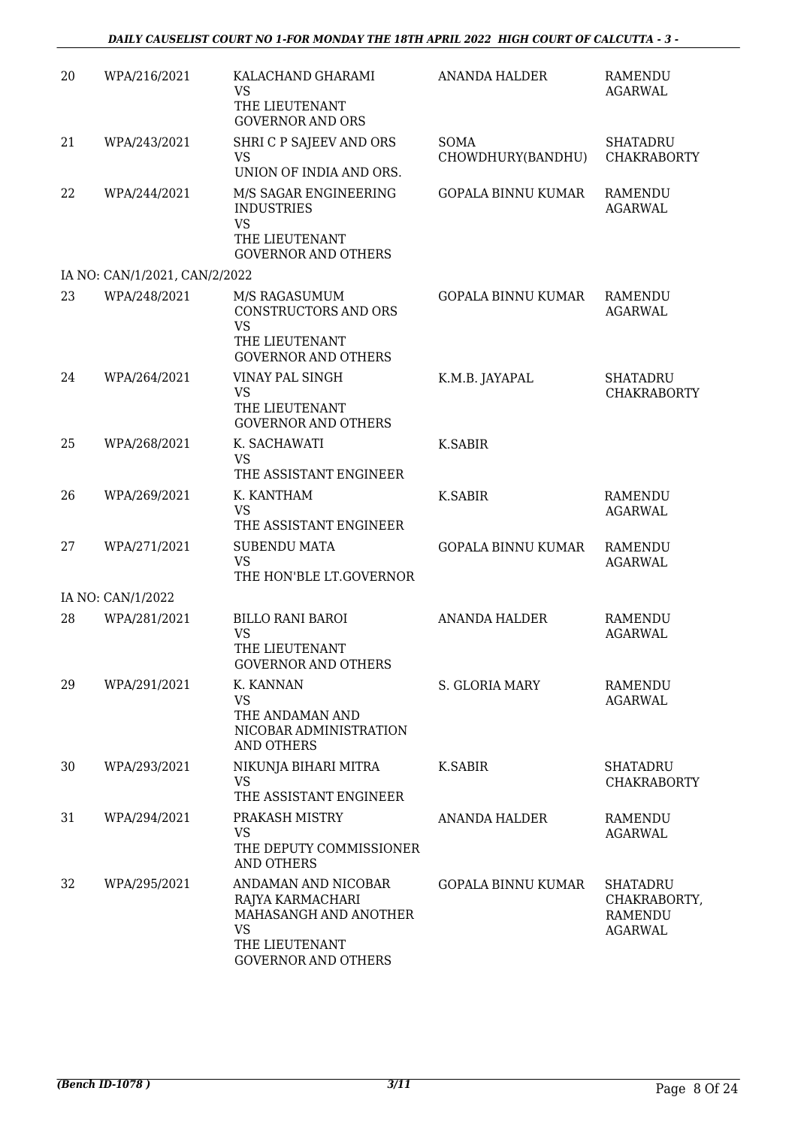| 20 | WPA/216/2021                  | KALACHAND GHARAMI<br><b>VS</b><br>THE LIEUTENANT                                                                              | <b>ANANDA HALDER</b>             | RAMENDU<br><b>AGARWAL</b>                                    |
|----|-------------------------------|-------------------------------------------------------------------------------------------------------------------------------|----------------------------------|--------------------------------------------------------------|
|    |                               | <b>GOVERNOR AND ORS</b>                                                                                                       |                                  |                                                              |
| 21 | WPA/243/2021                  | SHRI C P SAJEEV AND ORS<br><b>VS</b><br>UNION OF INDIA AND ORS.                                                               | <b>SOMA</b><br>CHOWDHURY(BANDHU) | <b>SHATADRU</b><br><b>CHAKRABORTY</b>                        |
| 22 | WPA/244/2021                  | M/S SAGAR ENGINEERING<br><b>INDUSTRIES</b><br><b>VS</b><br>THE LIEUTENANT<br><b>GOVERNOR AND OTHERS</b>                       | <b>GOPALA BINNU KUMAR</b>        | RAMENDU<br><b>AGARWAL</b>                                    |
|    | IA NO: CAN/1/2021, CAN/2/2022 |                                                                                                                               |                                  |                                                              |
| 23 | WPA/248/2021                  | M/S RAGASUMUM<br>CONSTRUCTORS AND ORS<br><b>VS</b><br>THE LIEUTENANT<br><b>GOVERNOR AND OTHERS</b>                            | GOPALA BINNU KUMAR               | <b>RAMENDU</b><br><b>AGARWAL</b>                             |
| 24 | WPA/264/2021                  | VINAY PAL SINGH<br><b>VS</b><br>THE LIEUTENANT<br><b>GOVERNOR AND OTHERS</b>                                                  | K.M.B. JAYAPAL                   | <b>SHATADRU</b><br><b>CHAKRABORTY</b>                        |
| 25 | WPA/268/2021                  | K. SACHAWATI<br><b>VS</b><br>THE ASSISTANT ENGINEER                                                                           | <b>K.SABIR</b>                   |                                                              |
| 26 | WPA/269/2021                  | K. KANTHAM<br><b>VS</b><br>THE ASSISTANT ENGINEER                                                                             | K.SABIR                          | <b>RAMENDU</b><br><b>AGARWAL</b>                             |
| 27 | WPA/271/2021                  | <b>SUBENDU MATA</b><br><b>VS</b><br>THE HON'BLE LT.GOVERNOR                                                                   | <b>GOPALA BINNU KUMAR</b>        | RAMENDU<br><b>AGARWAL</b>                                    |
|    | IA NO: CAN/1/2022             |                                                                                                                               |                                  |                                                              |
| 28 | WPA/281/2021                  | <b>BILLO RANI BAROI</b><br><b>VS</b><br>THE LIEUTENANT<br><b>GOVERNOR AND OTHERS</b>                                          | <b>ANANDA HALDER</b>             | <b>RAMENDU</b><br><b>AGARWAL</b>                             |
| 29 | WPA/291/2021                  | K. KANNAN<br><b>VS</b><br>THE ANDAMAN AND<br>NICOBAR ADMINISTRATION<br><b>AND OTHERS</b>                                      | S. GLORIA MARY                   | RAMENDU<br><b>AGARWAL</b>                                    |
| 30 | WPA/293/2021                  | NIKUNJA BIHARI MITRA<br><b>VS</b><br>THE ASSISTANT ENGINEER                                                                   | K.SABIR                          | <b>SHATADRU</b><br><b>CHAKRABORTY</b>                        |
| 31 | WPA/294/2021                  | PRAKASH MISTRY<br><b>VS</b><br>THE DEPUTY COMMISSIONER<br><b>AND OTHERS</b>                                                   | <b>ANANDA HALDER</b>             | RAMENDU<br><b>AGARWAL</b>                                    |
| 32 | WPA/295/2021                  | ANDAMAN AND NICOBAR<br>RAJYA KARMACHARI<br>MAHASANGH AND ANOTHER<br><b>VS</b><br>THE LIEUTENANT<br><b>GOVERNOR AND OTHERS</b> | <b>GOPALA BINNU KUMAR</b>        | SHATADRU<br>CHAKRABORTY,<br><b>RAMENDU</b><br><b>AGARWAL</b> |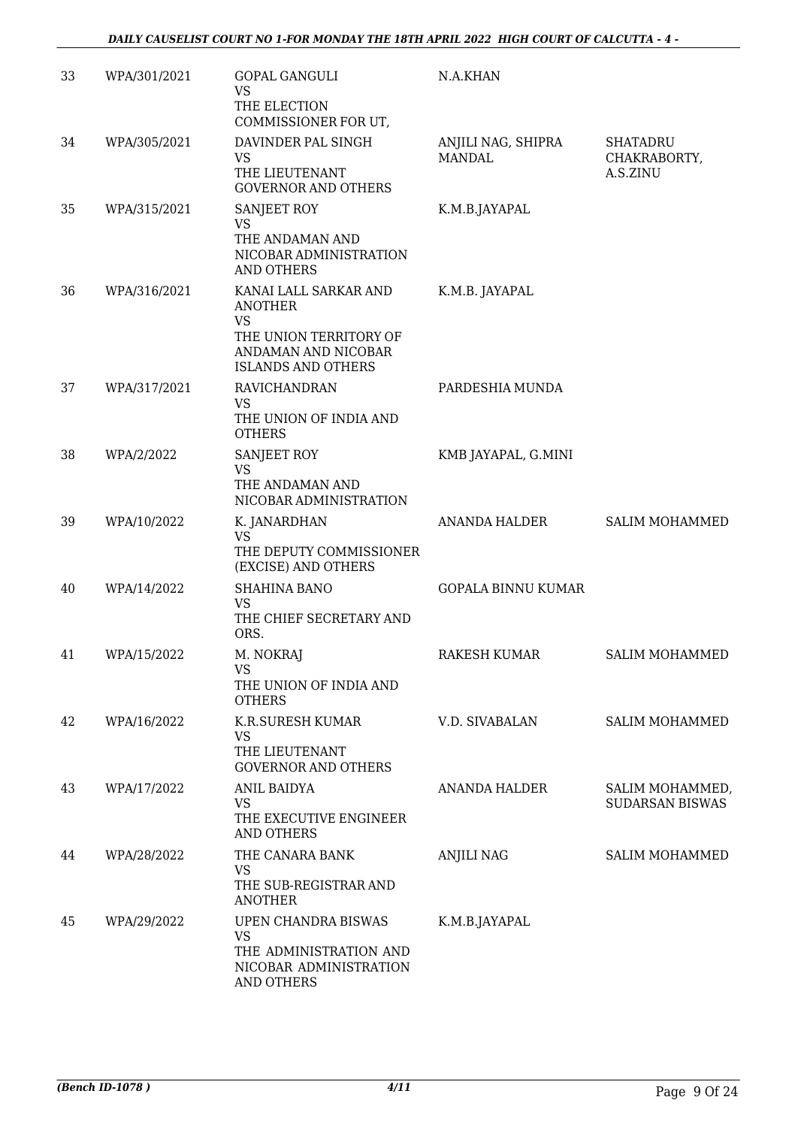| 33 | WPA/301/2021 | <b>GOPAL GANGULI</b><br><b>VS</b><br>THE ELECTION<br>COMMISSIONER FOR UT,                                                   | N.A.KHAN                            |                                           |
|----|--------------|-----------------------------------------------------------------------------------------------------------------------------|-------------------------------------|-------------------------------------------|
| 34 | WPA/305/2021 | DAVINDER PAL SINGH<br><b>VS</b><br>THE LIEUTENANT<br><b>GOVERNOR AND OTHERS</b>                                             | ANJILI NAG, SHIPRA<br><b>MANDAL</b> | SHATADRU<br>CHAKRABORTY,<br>A.S.ZINU      |
| 35 | WPA/315/2021 | SANJEET ROY<br><b>VS</b><br>THE ANDAMAN AND<br>NICOBAR ADMINISTRATION<br><b>AND OTHERS</b>                                  | K.M.B.JAYAPAL                       |                                           |
| 36 | WPA/316/2021 | KANAI LALL SARKAR AND<br>ANOTHER<br><b>VS</b><br>THE UNION TERRITORY OF<br>ANDAMAN AND NICOBAR<br><b>ISLANDS AND OTHERS</b> | K.M.B. JAYAPAL                      |                                           |
| 37 | WPA/317/2021 | RAVICHANDRAN<br><b>VS</b><br>THE UNION OF INDIA AND<br><b>OTHERS</b>                                                        | PARDESHIA MUNDA                     |                                           |
| 38 | WPA/2/2022   | SANJEET ROY<br><b>VS</b><br>THE ANDAMAN AND<br>NICOBAR ADMINISTRATION                                                       | KMB JAYAPAL, G.MINI                 |                                           |
| 39 | WPA/10/2022  | K. JANARDHAN<br><b>VS</b><br>THE DEPUTY COMMISSIONER<br>(EXCISE) AND OTHERS                                                 | <b>ANANDA HALDER</b>                | <b>SALIM MOHAMMED</b>                     |
| 40 | WPA/14/2022  | <b>SHAHINA BANO</b><br><b>VS</b><br>THE CHIEF SECRETARY AND<br>ORS.                                                         | <b>GOPALA BINNU KUMAR</b>           |                                           |
| 41 | WPA/15/2022  | M. NOKRAJ<br><b>VS</b><br>THE UNION OF INDIA AND<br><b>OTHERS</b>                                                           | RAKESH KUMAR                        | <b>SALIM MOHAMMED</b>                     |
| 42 | WPA/16/2022  | K.R.SURESH KUMAR<br><b>VS</b><br>THE LIEUTENANT<br><b>GOVERNOR AND OTHERS</b>                                               | V.D. SIVABALAN                      | <b>SALIM MOHAMMED</b>                     |
| 43 | WPA/17/2022  | <b>ANIL BAIDYA</b><br><b>VS</b><br>THE EXECUTIVE ENGINEER<br>AND OTHERS                                                     | <b>ANANDA HALDER</b>                | SALIM MOHAMMED,<br><b>SUDARSAN BISWAS</b> |
| 44 | WPA/28/2022  | THE CANARA BANK<br><b>VS</b><br>THE SUB-REGISTRAR AND<br><b>ANOTHER</b>                                                     | <b>ANJILI NAG</b>                   | <b>SALIM MOHAMMED</b>                     |
| 45 | WPA/29/2022  | UPEN CHANDRA BISWAS<br><b>VS</b><br>THE ADMINISTRATION AND<br>NICOBAR ADMINISTRATION<br>AND OTHERS                          | K.M.B.JAYAPAL                       |                                           |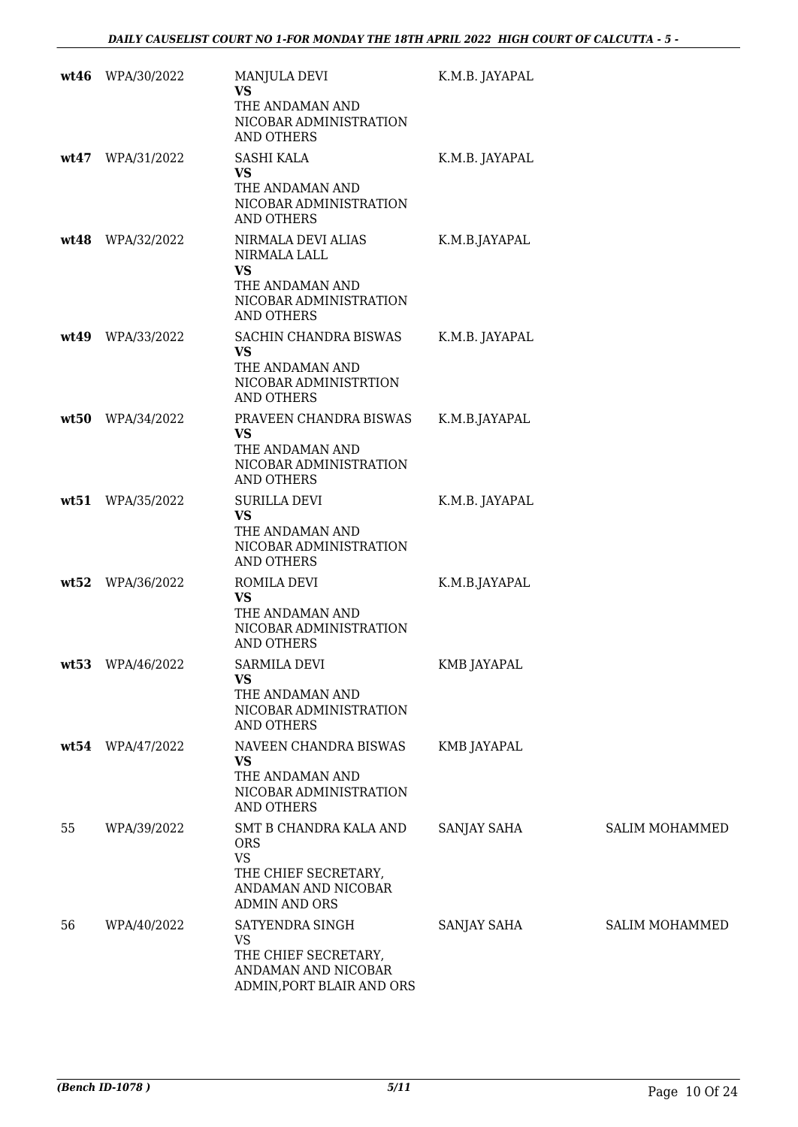| wt46 | WPA/30/2022        | MANJULA DEVI<br><b>VS</b><br>THE ANDAMAN AND<br>NICOBAR ADMINISTRATION<br><b>AND OTHERS</b>                              | K.M.B. JAYAPAL     |                       |
|------|--------------------|--------------------------------------------------------------------------------------------------------------------------|--------------------|-----------------------|
|      | wt47 WPA/31/2022   | SASHI KALA<br><b>VS</b><br>THE ANDAMAN AND<br>NICOBAR ADMINISTRATION<br><b>AND OTHERS</b>                                | K.M.B. JAYAPAL     |                       |
|      | wt48 WPA/32/2022   | NIRMALA DEVI ALIAS<br>NIRMALA LALL<br><b>VS</b><br>THE ANDAMAN AND<br>NICOBAR ADMINISTRATION<br><b>AND OTHERS</b>        | K.M.B.JAYAPAL      |                       |
|      | wt49 WPA/33/2022   | SACHIN CHANDRA BISWAS<br><b>VS</b><br>THE ANDAMAN AND<br>NICOBAR ADMINISTRTION<br><b>AND OTHERS</b>                      | K.M.B. JAYAPAL     |                       |
| wt50 | WPA/34/2022        | PRAVEEN CHANDRA BISWAS<br><b>VS</b><br>THE ANDAMAN AND<br>NICOBAR ADMINISTRATION<br>AND OTHERS                           | K.M.B.JAYAPAL      |                       |
|      | wt51 WPA/35/2022   | <b>SURILLA DEVI</b><br><b>VS</b><br>THE ANDAMAN AND<br>NICOBAR ADMINISTRATION<br><b>AND OTHERS</b>                       | K.M.B. JAYAPAL     |                       |
| wt52 | WPA/36/2022        | ROMILA DEVI<br><b>VS</b><br>THE ANDAMAN AND<br>NICOBAR ADMINISTRATION<br>AND OTHERS                                      | K.M.B.JAYAPAL      |                       |
|      | $wt53$ WPA/46/2022 | <b>SARMILA DEVI</b><br><b>VS</b><br>THE ANDAMAN AND<br>NICOBAR ADMINISTRATION<br><b>AND OTHERS</b>                       | KMB JAYAPAL        |                       |
|      | wt54 WPA/47/2022   | NAVEEN CHANDRA BISWAS<br><b>VS</b><br>THE ANDAMAN AND<br>NICOBAR ADMINISTRATION<br><b>AND OTHERS</b>                     | <b>KMB JAYAPAL</b> |                       |
| 55   | WPA/39/2022        | SMT B CHANDRA KALA AND<br><b>ORS</b><br><b>VS</b><br>THE CHIEF SECRETARY,<br>ANDAMAN AND NICOBAR<br><b>ADMIN AND ORS</b> | SANJAY SAHA        | <b>SALIM MOHAMMED</b> |
| 56   | WPA/40/2022        | SATYENDRA SINGH<br><b>VS</b><br>THE CHIEF SECRETARY,<br>ANDAMAN AND NICOBAR<br>ADMIN, PORT BLAIR AND ORS                 | SANJAY SAHA        | <b>SALIM MOHAMMED</b> |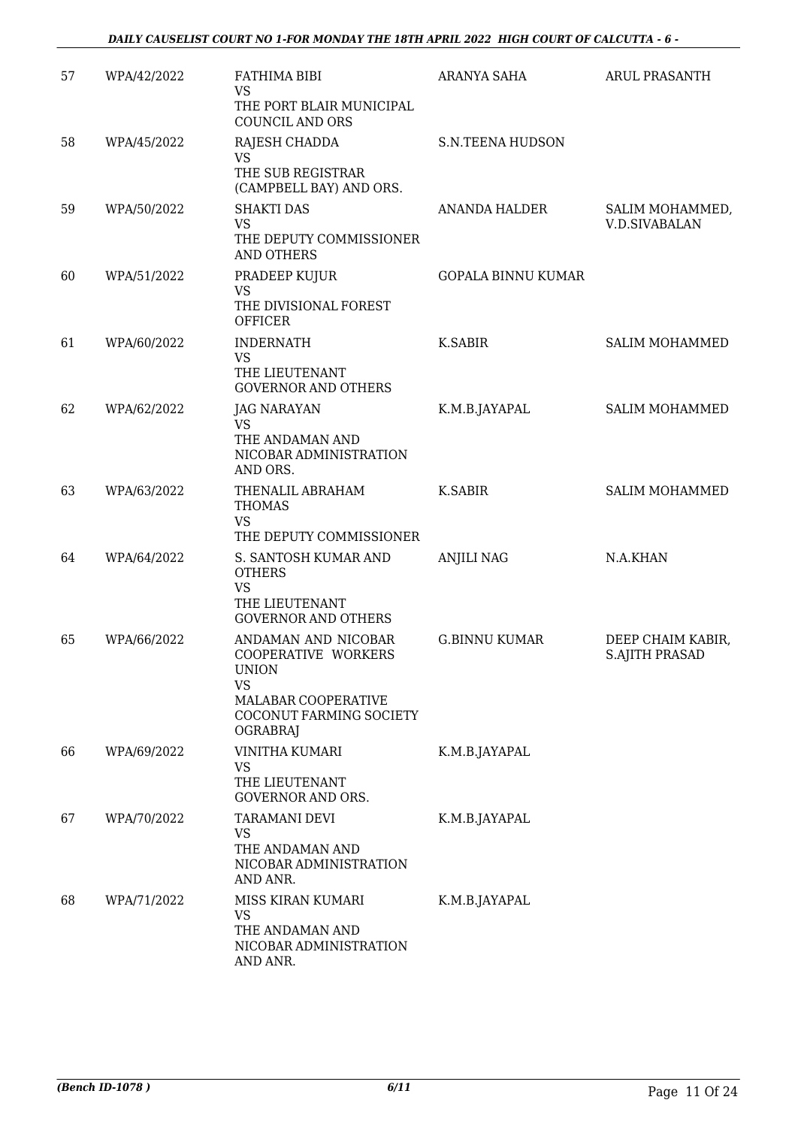| 57 | WPA/42/2022 | FATHIMA BIBI<br><b>VS</b><br>THE PORT BLAIR MUNICIPAL<br><b>COUNCIL AND ORS</b>                                                              | <b>ARANYA SAHA</b>        | <b>ARUL PRASANTH</b>                       |
|----|-------------|----------------------------------------------------------------------------------------------------------------------------------------------|---------------------------|--------------------------------------------|
| 58 | WPA/45/2022 | RAJESH CHADDA<br><b>VS</b><br>THE SUB REGISTRAR<br>(CAMPBELL BAY) AND ORS.                                                                   | <b>S.N.TEENA HUDSON</b>   |                                            |
| 59 | WPA/50/2022 | <b>SHAKTI DAS</b><br><b>VS</b><br>THE DEPUTY COMMISSIONER<br><b>AND OTHERS</b>                                                               | <b>ANANDA HALDER</b>      | SALIM MOHAMMED,<br><b>V.D.SIVABALAN</b>    |
| 60 | WPA/51/2022 | PRADEEP KUJUR<br><b>VS</b><br>THE DIVISIONAL FOREST<br><b>OFFICER</b>                                                                        | <b>GOPALA BINNU KUMAR</b> |                                            |
| 61 | WPA/60/2022 | <b>INDERNATH</b><br><b>VS</b><br>THE LIEUTENANT<br><b>GOVERNOR AND OTHERS</b>                                                                | K.SABIR                   | <b>SALIM MOHAMMED</b>                      |
| 62 | WPA/62/2022 | <b>JAG NARAYAN</b><br><b>VS</b><br>THE ANDAMAN AND<br>NICOBAR ADMINISTRATION<br>AND ORS.                                                     | K.M.B.JAYAPAL             | <b>SALIM MOHAMMED</b>                      |
| 63 | WPA/63/2022 | THENALIL ABRAHAM<br><b>THOMAS</b><br><b>VS</b><br>THE DEPUTY COMMISSIONER                                                                    | K.SABIR                   | <b>SALIM MOHAMMED</b>                      |
| 64 | WPA/64/2022 | S. SANTOSH KUMAR AND<br><b>OTHERS</b><br><b>VS</b><br>THE LIEUTENANT<br><b>GOVERNOR AND OTHERS</b>                                           | <b>ANJILI NAG</b>         | N.A.KHAN                                   |
| 65 | WPA/66/2022 | ANDAMAN AND NICOBAR<br>COOPERATIVE WORKERS<br><b>UNION</b><br><b>VS</b><br>MALABAR COOPERATIVE<br>COCONUT FARMING SOCIETY<br><b>OGRABRAJ</b> | <b>G.BINNU KUMAR</b>      | DEEP CHAIM KABIR,<br><b>S.AJITH PRASAD</b> |
| 66 | WPA/69/2022 | VINITHA KUMARI<br><b>VS</b><br>THE LIEUTENANT<br><b>GOVERNOR AND ORS.</b>                                                                    | K.M.B.JAYAPAL             |                                            |
| 67 | WPA/70/2022 | TARAMANI DEVI<br><b>VS</b><br>THE ANDAMAN AND<br>NICOBAR ADMINISTRATION<br>AND ANR.                                                          | K.M.B.JAYAPAL             |                                            |
| 68 | WPA/71/2022 | MISS KIRAN KUMARI<br><b>VS</b><br>THE ANDAMAN AND<br>NICOBAR ADMINISTRATION<br>AND ANR.                                                      | K.M.B.JAYAPAL             |                                            |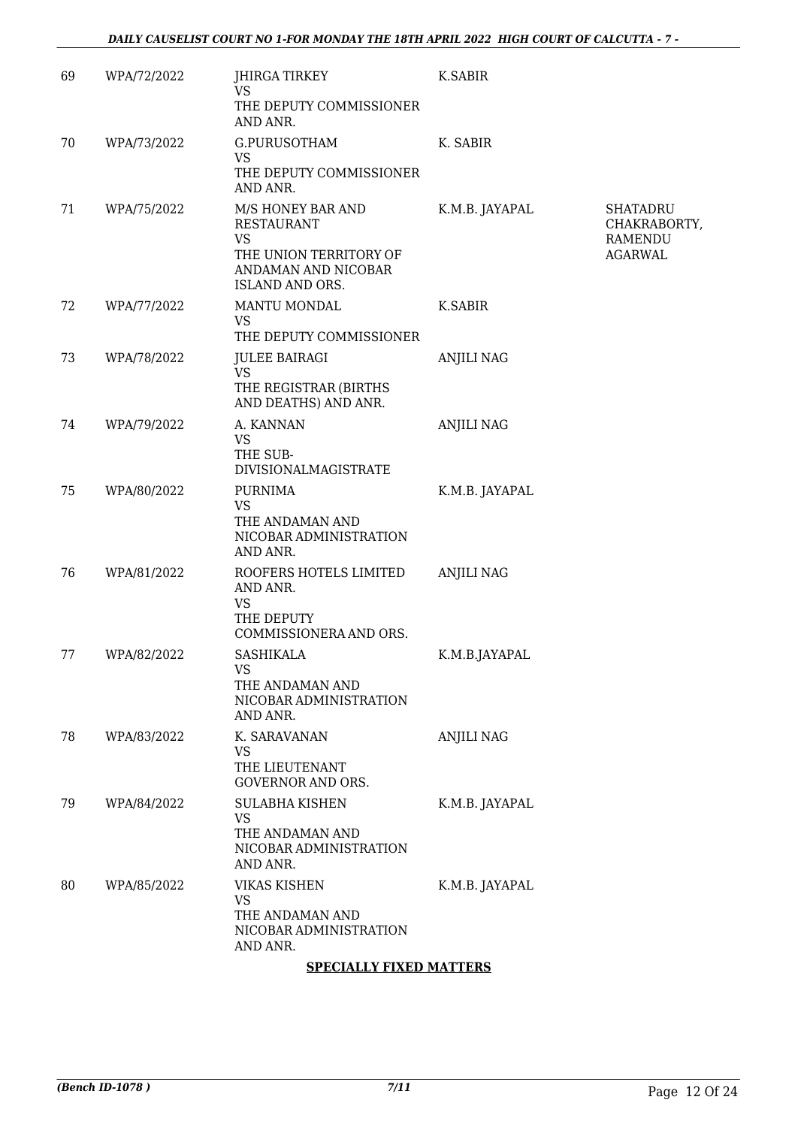| 69 | WPA/72/2022 | JHIRGA TIRKEY<br>VS<br>THE DEPUTY COMMISSIONER<br>AND ANR.                                                              | K.SABIR           |                                                              |
|----|-------------|-------------------------------------------------------------------------------------------------------------------------|-------------------|--------------------------------------------------------------|
| 70 | WPA/73/2022 | G.PURUSOTHAM<br><b>VS</b><br>THE DEPUTY COMMISSIONER<br>AND ANR.                                                        | K. SABIR          |                                                              |
| 71 | WPA/75/2022 | M/S HONEY BAR AND<br><b>RESTAURANT</b><br><b>VS</b><br>THE UNION TERRITORY OF<br>ANDAMAN AND NICOBAR<br>ISLAND AND ORS. | K.M.B. JAYAPAL    | <b>SHATADRU</b><br>CHAKRABORTY,<br>RAMENDU<br><b>AGARWAL</b> |
| 72 | WPA/77/2022 | MANTU MONDAL<br><b>VS</b><br>THE DEPUTY COMMISSIONER                                                                    | K.SABIR           |                                                              |
| 73 | WPA/78/2022 | <b>JULEE BAIRAGI</b><br><b>VS</b><br>THE REGISTRAR (BIRTHS<br>AND DEATHS) AND ANR.                                      | <b>ANJILI NAG</b> |                                                              |
| 74 | WPA/79/2022 | A. KANNAN<br><b>VS</b><br>THE SUB-<br><b>DIVISIONALMAGISTRATE</b>                                                       | <b>ANJILI NAG</b> |                                                              |
| 75 | WPA/80/2022 | <b>PURNIMA</b><br><b>VS</b><br>THE ANDAMAN AND<br>NICOBAR ADMINISTRATION<br>AND ANR.                                    | K.M.B. JAYAPAL    |                                                              |
| 76 | WPA/81/2022 | ROOFERS HOTELS LIMITED<br>AND ANR.<br><b>VS</b><br>THE DEPUTY<br>COMMISSIONERA AND ORS.                                 | <b>ANJILI NAG</b> |                                                              |
| 77 | WPA/82/2022 | <b>SASHIKALA</b><br>VS<br>THE ANDAMAN AND<br>NICOBAR ADMINISTRATION<br>AND ANR.                                         | K.M.B.JAYAPAL     |                                                              |
| 78 | WPA/83/2022 | K. SARAVANAN<br><b>VS</b><br>THE LIEUTENANT<br><b>GOVERNOR AND ORS.</b>                                                 | <b>ANJILI NAG</b> |                                                              |
| 79 | WPA/84/2022 | <b>SULABHA KISHEN</b><br><b>VS</b><br>THE ANDAMAN AND<br>NICOBAR ADMINISTRATION<br>AND ANR.                             | K.M.B. JAYAPAL    |                                                              |
| 80 | WPA/85/2022 | <b>VIKAS KISHEN</b><br><b>VS</b><br>THE ANDAMAN AND<br>NICOBAR ADMINISTRATION<br>AND ANR.                               | K.M.B. JAYAPAL    |                                                              |

#### **SPECIALLY FIXED MATTERS**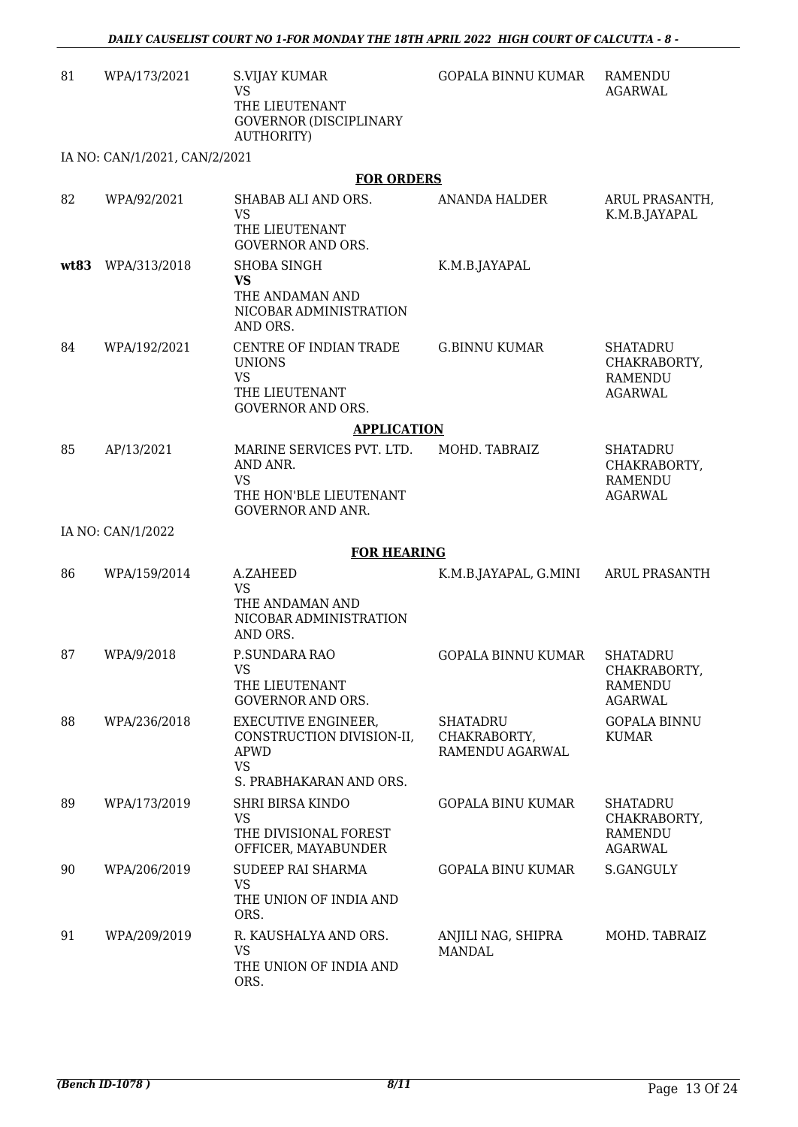| 81   | WPA/173/2021                  | <b>S.VIJAY KUMAR</b><br><b>VS</b><br>THE LIEUTENANT<br><b>GOVERNOR (DISCIPLINARY</b><br>AUTHORITY)             | <b>GOPALA BINNU KUMAR</b>                   | RAMENDU<br><b>AGARWAL</b>                                           |
|------|-------------------------------|----------------------------------------------------------------------------------------------------------------|---------------------------------------------|---------------------------------------------------------------------|
|      | IA NO: CAN/1/2021, CAN/2/2021 |                                                                                                                |                                             |                                                                     |
|      |                               | <b>FOR ORDERS</b>                                                                                              |                                             |                                                                     |
| 82   | WPA/92/2021                   | SHABAB ALI AND ORS.<br><b>VS</b><br>THE LIEUTENANT<br><b>GOVERNOR AND ORS.</b>                                 | ANANDA HALDER                               | ARUL PRASANTH,<br>K.M.B.JAYAPAL                                     |
| wt83 | WPA/313/2018                  | <b>SHOBA SINGH</b><br><b>VS</b><br>THE ANDAMAN AND<br>NICOBAR ADMINISTRATION<br>AND ORS.                       | K.M.B.JAYAPAL                               |                                                                     |
| 84   | WPA/192/2021                  | CENTRE OF INDIAN TRADE<br><b>UNIONS</b><br><b>VS</b><br>THE LIEUTENANT<br><b>GOVERNOR AND ORS.</b>             | <b>G.BINNU KUMAR</b>                        | <b>SHATADRU</b><br>CHAKRABORTY,<br><b>RAMENDU</b><br><b>AGARWAL</b> |
|      |                               | <b>APPLICATION</b>                                                                                             |                                             |                                                                     |
| 85   | AP/13/2021                    | MARINE SERVICES PVT. LTD.<br>AND ANR.<br><b>VS</b><br>THE HON'BLE LIEUTENANT<br><b>GOVERNOR AND ANR.</b>       | MOHD. TABRAIZ                               | <b>SHATADRU</b><br>CHAKRABORTY,<br><b>RAMENDU</b><br><b>AGARWAL</b> |
|      | IA NO: CAN/1/2022             |                                                                                                                |                                             |                                                                     |
|      |                               | <b>FOR HEARING</b>                                                                                             |                                             |                                                                     |
| 86   | WPA/159/2014                  | A.ZAHEED<br><b>VS</b><br>THE ANDAMAN AND<br>NICOBAR ADMINISTRATION<br>AND ORS.                                 | K.M.B.JAYAPAL, G.MINI                       | <b>ARUL PRASANTH</b>                                                |
| 87   | WPA/9/2018                    | P.SUNDARA RAO<br><b>VS</b><br>THE LIEUTENANT<br><b>GOVERNOR AND ORS.</b>                                       | GOPALA BINNU KUMAR                          | SHATADRU<br>CHAKRABORTY,<br><b>RAMENDU</b><br><b>AGARWAL</b>        |
| 88   | WPA/236/2018                  | <b>EXECUTIVE ENGINEER,</b><br>CONSTRUCTION DIVISION-II,<br><b>APWD</b><br><b>VS</b><br>S. PRABHAKARAN AND ORS. | SHATADRU<br>CHAKRABORTY,<br>RAMENDU AGARWAL | <b>GOPALA BINNU</b><br><b>KUMAR</b>                                 |
| 89   | WPA/173/2019                  | SHRI BIRSA KINDO<br><b>VS</b><br>THE DIVISIONAL FOREST<br>OFFICER, MAYABUNDER                                  | <b>GOPALA BINU KUMAR</b>                    | <b>SHATADRU</b><br>CHAKRABORTY,<br>RAMENDU<br><b>AGARWAL</b>        |
| 90   | WPA/206/2019                  | <b>SUDEEP RAI SHARMA</b><br><b>VS</b><br>THE UNION OF INDIA AND<br>ORS.                                        | <b>GOPALA BINU KUMAR</b>                    | S.GANGULY                                                           |
| 91   | WPA/209/2019                  | R. KAUSHALYA AND ORS.<br><b>VS</b><br>THE UNION OF INDIA AND<br>ORS.                                           | ANJILI NAG, SHIPRA<br><b>MANDAL</b>         | MOHD. TABRAIZ                                                       |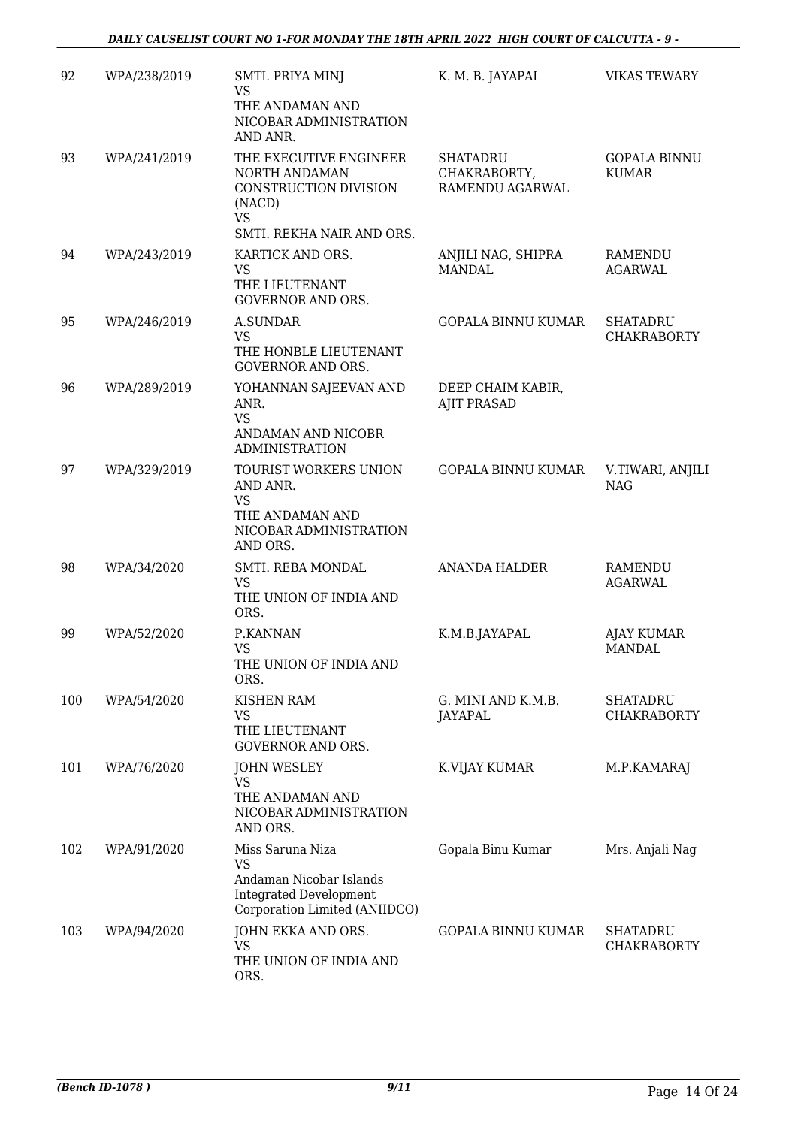| 92  | WPA/238/2019 | SMTI. PRIYA MINJ<br><b>VS</b><br>THE ANDAMAN AND<br>NICOBAR ADMINISTRATION<br>AND ANR.                                     | K. M. B. JAYAPAL                                   | <b>VIKAS TEWARY</b>                   |
|-----|--------------|----------------------------------------------------------------------------------------------------------------------------|----------------------------------------------------|---------------------------------------|
| 93  | WPA/241/2019 | THE EXECUTIVE ENGINEER<br>NORTH ANDAMAN<br>CONSTRUCTION DIVISION<br>(NACD)<br><b>VS</b><br>SMTI. REKHA NAIR AND ORS.       | <b>SHATADRU</b><br>CHAKRABORTY,<br>RAMENDU AGARWAL | <b>GOPALA BINNU</b><br><b>KUMAR</b>   |
| 94  | WPA/243/2019 | KARTICK AND ORS.<br><b>VS</b><br>THE LIEUTENANT<br><b>GOVERNOR AND ORS.</b>                                                | ANJILI NAG, SHIPRA<br><b>MANDAL</b>                | <b>RAMENDU</b><br><b>AGARWAL</b>      |
| 95  | WPA/246/2019 | <b>A.SUNDAR</b><br><b>VS</b><br>THE HONBLE LIEUTENANT<br><b>GOVERNOR AND ORS.</b>                                          | <b>GOPALA BINNU KUMAR</b>                          | <b>SHATADRU</b><br><b>CHAKRABORTY</b> |
| 96  | WPA/289/2019 | YOHANNAN SAJEEVAN AND<br>ANR.<br><b>VS</b><br>ANDAMAN AND NICOBR<br><b>ADMINISTRATION</b>                                  | DEEP CHAIM KABIR,<br><b>AJIT PRASAD</b>            |                                       |
| 97  | WPA/329/2019 | TOURIST WORKERS UNION<br>AND ANR.<br><b>VS</b><br>THE ANDAMAN AND<br>NICOBAR ADMINISTRATION<br>AND ORS.                    | <b>GOPALA BINNU KUMAR</b>                          | V.TIWARI, ANJILI<br><b>NAG</b>        |
| 98  | WPA/34/2020  | SMTI. REBA MONDAL<br><b>VS</b><br>THE UNION OF INDIA AND<br>ORS.                                                           | <b>ANANDA HALDER</b>                               | <b>RAMENDU</b><br><b>AGARWAL</b>      |
| 99  | WPA/52/2020  | P.KANNAN<br><b>VS</b><br>THE UNION OF INDIA AND<br>ORS.                                                                    | K.M.B.JAYAPAL                                      | <b>AJAY KUMAR</b><br><b>MANDAL</b>    |
| 100 | WPA/54/2020  | <b>KISHEN RAM</b><br><b>VS</b><br>THE LIEUTENANT<br><b>GOVERNOR AND ORS.</b>                                               | G. MINI AND K.M.B.<br>JAYAPAL                      | <b>SHATADRU</b><br><b>CHAKRABORTY</b> |
| 101 | WPA/76/2020  | <b>JOHN WESLEY</b><br><b>VS</b><br>THE ANDAMAN AND<br>NICOBAR ADMINISTRATION<br>AND ORS.                                   | K.VIJAY KUMAR                                      | M.P.KAMARAJ                           |
| 102 | WPA/91/2020  | Miss Saruna Niza<br><b>VS</b><br>Andaman Nicobar Islands<br><b>Integrated Development</b><br>Corporation Limited (ANIIDCO) | Gopala Binu Kumar                                  | Mrs. Anjali Nag                       |
| 103 | WPA/94/2020  | JOHN EKKA AND ORS.<br><b>VS</b><br>THE UNION OF INDIA AND<br>ORS.                                                          | <b>GOPALA BINNU KUMAR</b>                          | <b>SHATADRU</b><br><b>CHAKRABORTY</b> |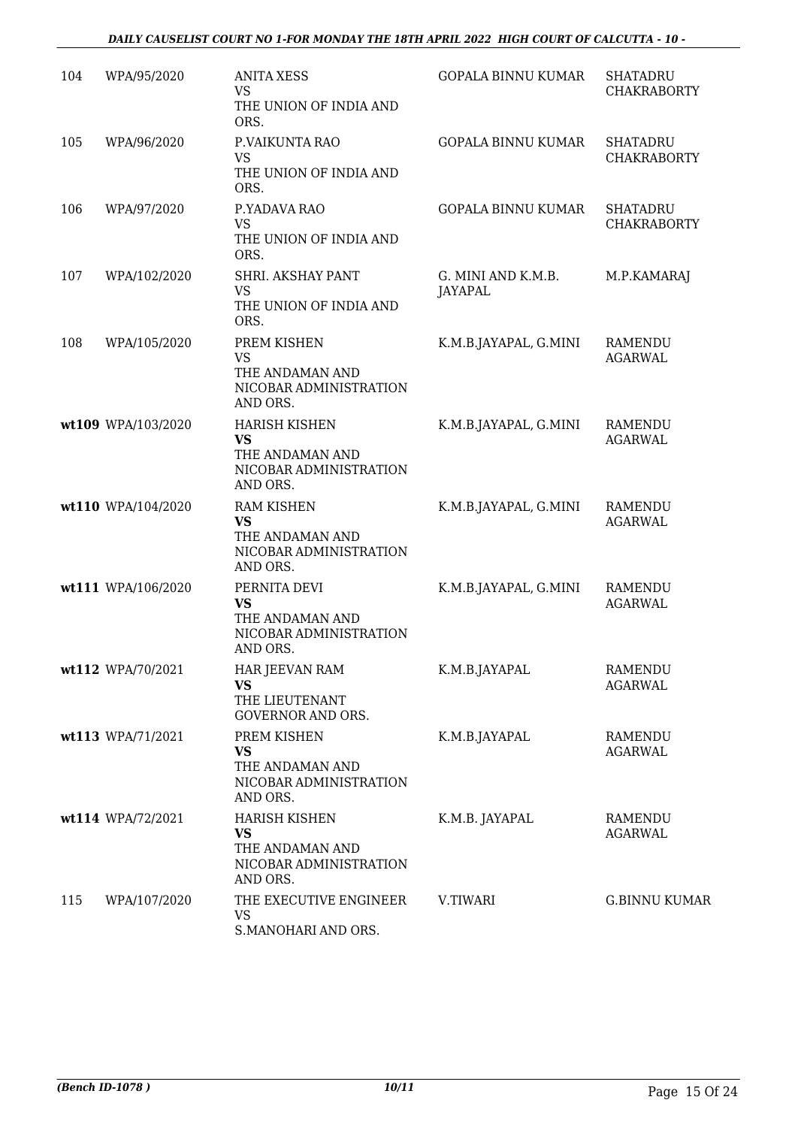### *DAILY CAUSELIST COURT NO 1-FOR MONDAY THE 18TH APRIL 2022 HIGH COURT OF CALCUTTA - 10 -*

| 104 | WPA/95/2020        | <b>ANITA XESS</b><br><b>VS</b><br>THE UNION OF INDIA AND<br>ORS.                           | <b>GOPALA BINNU KUMAR</b>            | <b>SHATADRU</b><br><b>CHAKRABORTY</b> |
|-----|--------------------|--------------------------------------------------------------------------------------------|--------------------------------------|---------------------------------------|
| 105 | WPA/96/2020        | P.VAIKUNTA RAO<br><b>VS</b><br>THE UNION OF INDIA AND<br>ORS.                              | <b>GOPALA BINNU KUMAR</b>            | <b>SHATADRU</b><br><b>CHAKRABORTY</b> |
| 106 | WPA/97/2020        | P.YADAVA RAO<br><b>VS</b><br>THE UNION OF INDIA AND<br>ORS.                                | <b>GOPALA BINNU KUMAR</b>            | <b>SHATADRU</b><br><b>CHAKRABORTY</b> |
| 107 | WPA/102/2020       | SHRI. AKSHAY PANT<br><b>VS</b><br>THE UNION OF INDIA AND<br>ORS.                           | G. MINI AND K.M.B.<br><b>JAYAPAL</b> | M.P.KAMARAJ                           |
| 108 | WPA/105/2020       | PREM KISHEN<br><b>VS</b><br>THE ANDAMAN AND<br>NICOBAR ADMINISTRATION<br>AND ORS.          | K.M.B.JAYAPAL, G.MINI                | RAMENDU<br><b>AGARWAL</b>             |
|     | wt109 WPA/103/2020 | <b>HARISH KISHEN</b><br><b>VS</b><br>THE ANDAMAN AND<br>NICOBAR ADMINISTRATION<br>AND ORS. | K.M.B.JAYAPAL, G.MINI                | <b>RAMENDU</b><br><b>AGARWAL</b>      |
|     | wt110 WPA/104/2020 | <b>RAM KISHEN</b><br><b>VS</b><br>THE ANDAMAN AND<br>NICOBAR ADMINISTRATION<br>AND ORS.    | K.M.B.JAYAPAL, G.MINI                | <b>RAMENDU</b><br><b>AGARWAL</b>      |
|     | wt111 WPA/106/2020 | PERNITA DEVI<br><b>VS</b><br>THE ANDAMAN AND<br>NICOBAR ADMINISTRATION<br>AND ORS.         | K.M.B.JAYAPAL, G.MINI                | <b>RAMENDU</b><br><b>AGARWAL</b>      |
|     | wt112 WPA/70/2021  | HAR JEEVAN RAM<br><b>VS</b><br>THE LIEUTENANT<br><b>GOVERNOR AND ORS.</b>                  | K.M.B.JAYAPAL                        | <b>RAMENDU</b><br><b>AGARWAL</b>      |
|     | wt113 WPA/71/2021  | PREM KISHEN<br><b>VS</b><br>THE ANDAMAN AND<br>NICOBAR ADMINISTRATION<br>AND ORS.          | K.M.B.JAYAPAL                        | RAMENDU<br><b>AGARWAL</b>             |
|     | wt114 WPA/72/2021  | <b>HARISH KISHEN</b><br><b>VS</b><br>THE ANDAMAN AND<br>NICOBAR ADMINISTRATION<br>AND ORS. | K.M.B. JAYAPAL                       | RAMENDU<br><b>AGARWAL</b>             |
| 115 | WPA/107/2020       | THE EXECUTIVE ENGINEER<br>VS.<br>S.MANOHARI AND ORS.                                       | V.TIWARI                             | <b>G.BINNU KUMAR</b>                  |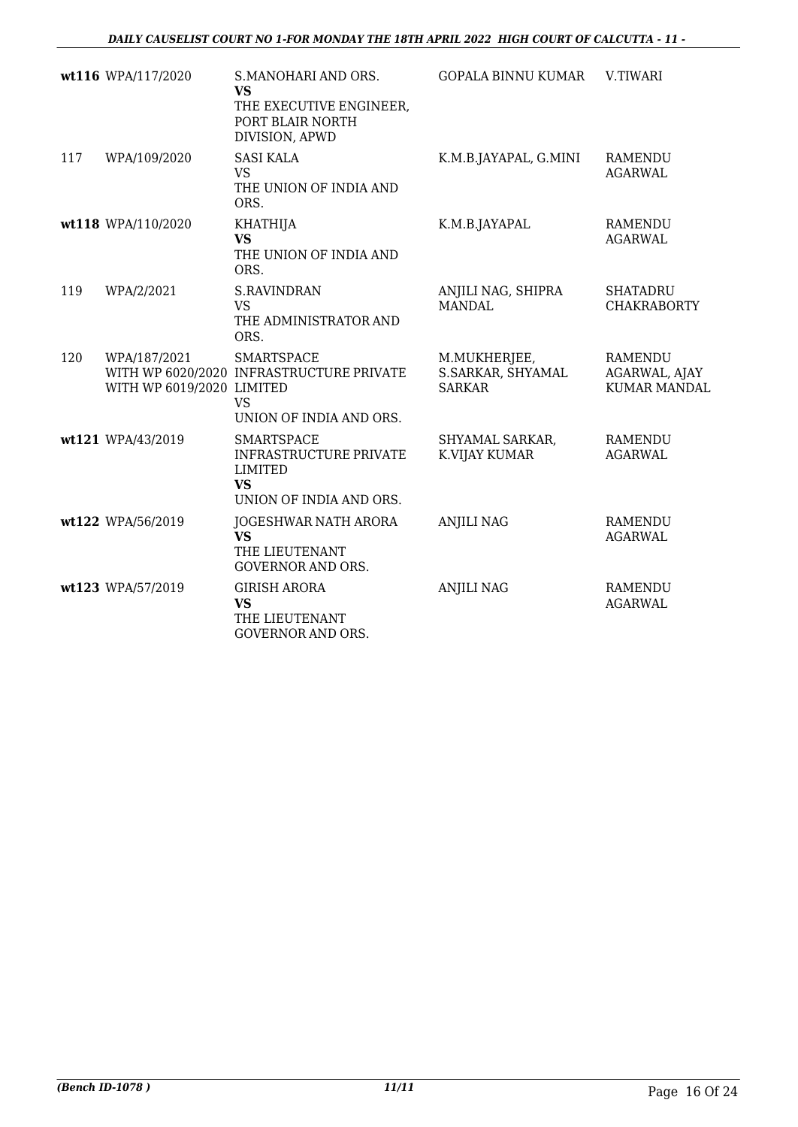|     | wt116 WPA/117/2020                        | S.MANOHARI AND ORS.<br><b>VS</b><br>THE EXECUTIVE ENGINEER,<br>PORT BLAIR NORTH<br>DIVISION, APWD     | <b>GOPALA BINNU KUMAR</b>                          | V.TIWARI                                               |
|-----|-------------------------------------------|-------------------------------------------------------------------------------------------------------|----------------------------------------------------|--------------------------------------------------------|
| 117 | WPA/109/2020                              | <b>SASI KALA</b><br><b>VS</b><br>THE UNION OF INDIA AND<br>ORS.                                       | K.M.B.JAYAPAL, G.MINI                              | <b>RAMENDU</b><br><b>AGARWAL</b>                       |
|     | wt118 WPA/110/2020                        | <b>KHATHIJA</b><br><b>VS</b><br>THE UNION OF INDIA AND<br>ORS.                                        | K.M.B.JAYAPAL                                      | <b>RAMENDU</b><br><b>AGARWAL</b>                       |
| 119 | WPA/2/2021                                | <b>S.RAVINDRAN</b><br><b>VS</b><br>THE ADMINISTRATOR AND<br>ORS.                                      | ANJILI NAG, SHIPRA<br><b>MANDAL</b>                | <b>SHATADRU</b><br><b>CHAKRABORTY</b>                  |
| 120 | WPA/187/2021<br>WITH WP 6019/2020 LIMITED | <b>SMARTSPACE</b><br>WITH WP 6020/2020 INFRASTRUCTURE PRIVATE<br><b>VS</b><br>UNION OF INDIA AND ORS. | M.MUKHERJEE,<br>S.SARKAR, SHYAMAL<br><b>SARKAR</b> | <b>RAMENDU</b><br>AGARWAL, AJAY<br><b>KUMAR MANDAL</b> |
|     | wt121 WPA/43/2019                         | <b>SMARTSPACE</b><br><b>INFRASTRUCTURE PRIVATE</b><br>LIMITED<br><b>VS</b><br>UNION OF INDIA AND ORS. | SHYAMAL SARKAR,<br>K.VIJAY KUMAR                   | RAMENDU<br><b>AGARWAL</b>                              |
|     | wt122 WPA/56/2019                         | JOGESHWAR NATH ARORA<br><b>VS</b><br>THE LIEUTENANT<br><b>GOVERNOR AND ORS.</b>                       | <b>ANJILI NAG</b>                                  | <b>RAMENDU</b><br><b>AGARWAL</b>                       |
|     | wt123 WPA/57/2019                         | <b>GIRISH ARORA</b><br><b>VS</b><br>THE LIEUTENANT<br><b>GOVERNOR AND ORS.</b>                        | <b>ANJILI NAG</b>                                  | <b>RAMENDU</b><br><b>AGARWAL</b>                       |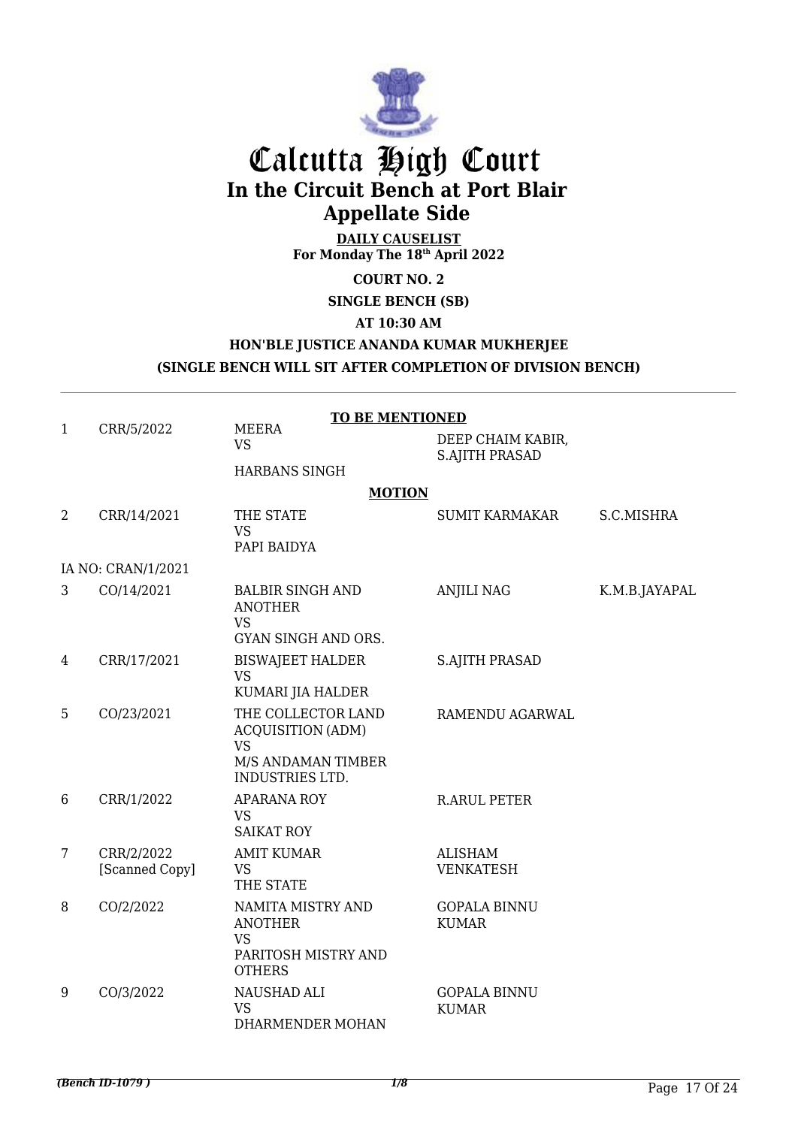

# Calcutta High Court **In the Circuit Bench at Port Blair Appellate Side**

**DAILY CAUSELIST For Monday The 18th April 2022**

**COURT NO. 2**

## **SINGLE BENCH (SB)**

**AT 10:30 AM**

## **HON'BLE JUSTICE ANANDA KUMAR MUKHERJEE (SINGLE BENCH WILL SIT AFTER COMPLETION OF DIVISION BENCH)**

|              |                              | <b>TO BE MENTIONED</b>                                                                                      |                                            |               |
|--------------|------------------------------|-------------------------------------------------------------------------------------------------------------|--------------------------------------------|---------------|
| $\mathbf{1}$ | CRR/5/2022                   | <b>MEERA</b><br><b>VS</b>                                                                                   | DEEP CHAIM KABIR,<br><b>S.AJITH PRASAD</b> |               |
|              |                              | <b>HARBANS SINGH</b>                                                                                        |                                            |               |
|              |                              | <b>MOTION</b>                                                                                               |                                            |               |
| 2            | CRR/14/2021                  | THE STATE<br><b>VS</b><br>PAPI BAIDYA                                                                       | <b>SUMIT KARMAKAR</b>                      | S.C.MISHRA    |
|              | IA NO: CRAN/1/2021           |                                                                                                             |                                            |               |
| 3            | CO/14/2021                   | <b>BALBIR SINGH AND</b><br><b>ANOTHER</b><br><b>VS</b><br>GYAN SINGH AND ORS.                               | <b>ANJILI NAG</b>                          | K.M.B.JAYAPAL |
| 4            | CRR/17/2021                  | <b>BISWAJEET HALDER</b><br><b>VS</b><br>KUMARI JIA HALDER                                                   | <b>S.AJITH PRASAD</b>                      |               |
| 5            | CO/23/2021                   | THE COLLECTOR LAND<br><b>ACQUISITION (ADM)</b><br><b>VS</b><br>M/S ANDAMAN TIMBER<br><b>INDUSTRIES LTD.</b> | RAMENDU AGARWAL                            |               |
| 6            | CRR/1/2022                   | <b>APARANA ROY</b><br><b>VS</b><br><b>SAIKAT ROY</b>                                                        | <b>R.ARUL PETER</b>                        |               |
| 7            | CRR/2/2022<br>[Scanned Copy] | <b>AMIT KUMAR</b><br><b>VS</b><br>THE STATE                                                                 | <b>ALISHAM</b><br><b>VENKATESH</b>         |               |
| 8            | CO/2/2022                    | NAMITA MISTRY AND<br><b>ANOTHER</b><br><b>VS</b><br>PARITOSH MISTRY AND<br><b>OTHERS</b>                    | <b>GOPALA BINNU</b><br><b>KUMAR</b>        |               |
| 9            | CO/3/2022                    | NAUSHAD ALI<br><b>VS</b><br>DHARMENDER MOHAN                                                                | <b>GOPALA BINNU</b><br><b>KUMAR</b>        |               |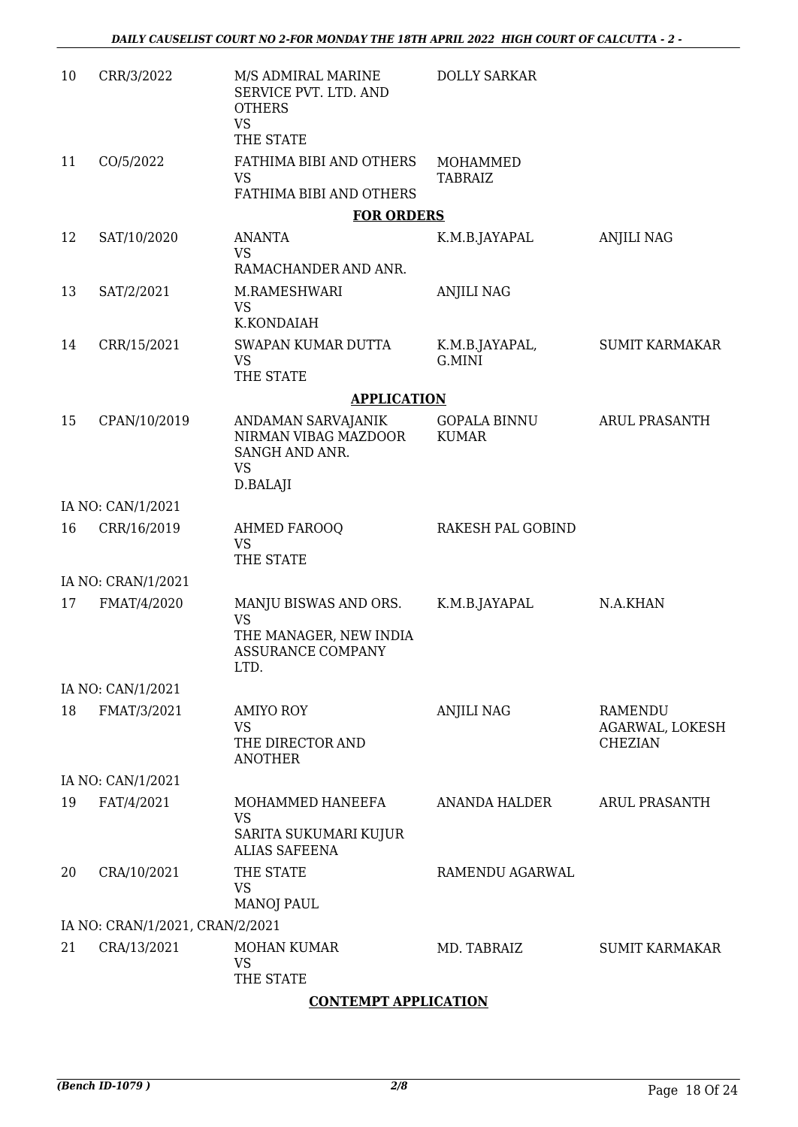| 10 | CRR/3/2022                      | M/S ADMIRAL MARINE<br>SERVICE PVT. LTD. AND<br><b>OTHERS</b><br><b>VS</b>                        | <b>DOLLY SARKAR</b>                 |                                                     |
|----|---------------------------------|--------------------------------------------------------------------------------------------------|-------------------------------------|-----------------------------------------------------|
|    |                                 | THE STATE                                                                                        |                                     |                                                     |
| 11 | CO/5/2022                       | FATHIMA BIBI AND OTHERS<br><b>VS</b><br>FATHIMA BIBI AND OTHERS                                  | MOHAMMED<br><b>TABRAIZ</b>          |                                                     |
|    |                                 | <b>FOR ORDERS</b>                                                                                |                                     |                                                     |
| 12 | SAT/10/2020                     | <b>ANANTA</b>                                                                                    | K.M.B.JAYAPAL                       | <b>ANJILI NAG</b>                                   |
|    |                                 | <b>VS</b><br>RAMACHANDER AND ANR.                                                                |                                     |                                                     |
| 13 | SAT/2/2021                      | M.RAMESHWARI<br><b>VS</b><br>K.KONDAIAH                                                          | <b>ANJILI NAG</b>                   |                                                     |
| 14 | CRR/15/2021                     | SWAPAN KUMAR DUTTA<br><b>VS</b><br>THE STATE                                                     | K.M.B.JAYAPAL,<br>G.MINI            | <b>SUMIT KARMAKAR</b>                               |
|    |                                 | <b>APPLICATION</b>                                                                               |                                     |                                                     |
| 15 | CPAN/10/2019                    | ANDAMAN SARVAJANIK<br>NIRMAN VIBAG MAZDOOR<br>SANGH AND ANR.<br><b>VS</b><br>D.BALAJI            | <b>GOPALA BINNU</b><br><b>KUMAR</b> | <b>ARUL PRASANTH</b>                                |
|    | IA NO: CAN/1/2021               |                                                                                                  |                                     |                                                     |
| 16 | CRR/16/2019                     | AHMED FAROOQ<br><b>VS</b><br>THE STATE                                                           | RAKESH PAL GOBIND                   |                                                     |
|    | IA NO: CRAN/1/2021              |                                                                                                  |                                     |                                                     |
| 17 | FMAT/4/2020                     | MANJU BISWAS AND ORS.<br><b>VS</b><br>THE MANAGER, NEW INDIA<br><b>ASSURANCE COMPANY</b><br>LTD. | K.M.B.JAYAPAL                       | N.A.KHAN                                            |
|    | IA NO: CAN/1/2021               |                                                                                                  |                                     |                                                     |
| 18 | FMAT/3/2021                     | <b>AMIYO ROY</b><br><b>VS</b><br>THE DIRECTOR AND<br><b>ANOTHER</b>                              | <b>ANJILI NAG</b>                   | <b>RAMENDU</b><br>AGARWAL, LOKESH<br><b>CHEZIAN</b> |
|    | IA NO: CAN/1/2021               |                                                                                                  |                                     |                                                     |
| 19 | FAT/4/2021                      | MOHAMMED HANEEFA<br><b>VS</b><br>SARITA SUKUMARI KUJUR<br><b>ALIAS SAFEENA</b>                   | <b>ANANDA HALDER</b>                | <b>ARUL PRASANTH</b>                                |
| 20 | CRA/10/2021                     | THE STATE<br><b>VS</b><br><b>MANOJ PAUL</b>                                                      | RAMENDU AGARWAL                     |                                                     |
|    | IA NO: CRAN/1/2021, CRAN/2/2021 |                                                                                                  |                                     |                                                     |
| 21 | CRA/13/2021                     | <b>MOHAN KUMAR</b><br><b>VS</b><br>THE STATE                                                     | MD. TABRAIZ                         | <b>SUMIT KARMAKAR</b>                               |
|    |                                 |                                                                                                  |                                     |                                                     |

### **CONTEMPT APPLICATION**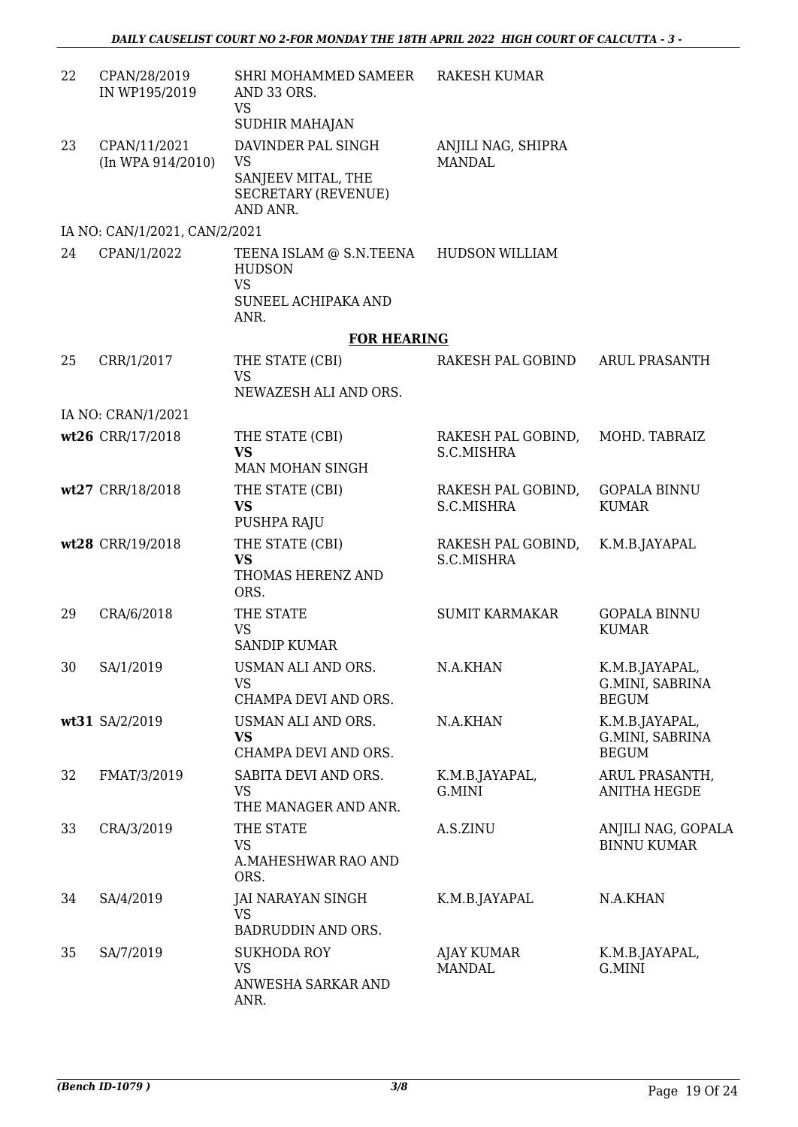| 22 | CPAN/28/2019<br>IN WP195/2019         | SHRI MOHAMMED SAMEER<br>AND 33 ORS.<br><b>VS</b><br>SUDHIR MAHAJAN                                  | <b>RAKESH KUMAR</b>                 |                                                   |
|----|---------------------------------------|-----------------------------------------------------------------------------------------------------|-------------------------------------|---------------------------------------------------|
| 23 | CPAN/11/2021<br>$(In$ WPA $914/2010)$ | DAVINDER PAL SINGH<br>VS<br>SANJEEV MITAL, THE<br><b>SECRETARY (REVENUE)</b><br>AND ANR.            | ANJILI NAG, SHIPRA<br><b>MANDAL</b> |                                                   |
|    | IA NO: CAN/1/2021, CAN/2/2021         |                                                                                                     |                                     |                                                   |
| 24 | CPAN/1/2022                           | TEENA ISLAM @ S.N.TEENA HUDSON WILLIAM<br><b>HUDSON</b><br><b>VS</b><br>SUNEEL ACHIPAKA AND<br>ANR. |                                     |                                                   |
|    |                                       | <b>FOR HEARING</b>                                                                                  |                                     |                                                   |
| 25 | CRR/1/2017                            | THE STATE (CBI)<br><b>VS</b><br>NEWAZESH ALI AND ORS.                                               | RAKESH PAL GOBIND                   | <b>ARUL PRASANTH</b>                              |
|    | IA NO: CRAN/1/2021                    |                                                                                                     |                                     |                                                   |
|    | wt26 CRR/17/2018                      | THE STATE (CBI)<br><b>VS</b><br>MAN MOHAN SINGH                                                     | RAKESH PAL GOBIND,<br>S.C.MISHRA    | MOHD. TABRAIZ                                     |
|    | wt27 CRR/18/2018                      | THE STATE (CBI)<br><b>VS</b><br>PUSHPA RAJU                                                         | RAKESH PAL GOBIND,<br>S.C.MISHRA    | <b>GOPALA BINNU</b><br><b>KUMAR</b>               |
|    | wt28 CRR/19/2018                      | THE STATE (CBI)<br><b>VS</b><br>THOMAS HERENZ AND<br>ORS.                                           | RAKESH PAL GOBIND,<br>S.C.MISHRA    | K.M.B.JAYAPAL                                     |
| 29 | CRA/6/2018                            | THE STATE<br><b>VS</b><br><b>SANDIP KUMAR</b>                                                       | <b>SUMIT KARMAKAR</b>               | <b>GOPALA BINNU</b><br><b>KUMAR</b>               |
| 30 | SA/1/2019                             | USMAN ALI AND ORS.<br><b>VS</b><br>CHAMPA DEVI AND ORS.                                             | N.A.KHAN                            | K.M.B.JAYAPAL,<br>G.MINI, SABRINA<br><b>BEGUM</b> |
|    | wt31 SA/2/2019                        | USMAN ALI AND ORS.<br><b>VS</b><br>CHAMPA DEVI AND ORS.                                             | N.A.KHAN                            | K.M.B.JAYAPAL,<br>G.MINI, SABRINA<br><b>BEGUM</b> |
| 32 | FMAT/3/2019                           | SABITA DEVI AND ORS.<br><b>VS</b><br>THE MANAGER AND ANR.                                           | K.M.B.JAYAPAL,<br>G.MINI            | ARUL PRASANTH,<br><b>ANITHA HEGDE</b>             |
| 33 | CRA/3/2019                            | THE STATE<br><b>VS</b><br>A.MAHESHWAR RAO AND<br>ORS.                                               | A.S.ZINU                            | ANJILI NAG, GOPALA<br><b>BINNU KUMAR</b>          |
| 34 | SA/4/2019                             | JAI NARAYAN SINGH<br><b>VS</b><br>BADRUDDIN AND ORS.                                                | K.M.B.JAYAPAL                       | N.A.KHAN                                          |
| 35 | SA/7/2019                             | <b>SUKHODA ROY</b><br><b>VS</b><br>ANWESHA SARKAR AND<br>ANR.                                       | AJAY KUMAR<br><b>MANDAL</b>         | K.M.B.JAYAPAL,<br>G.MINI                          |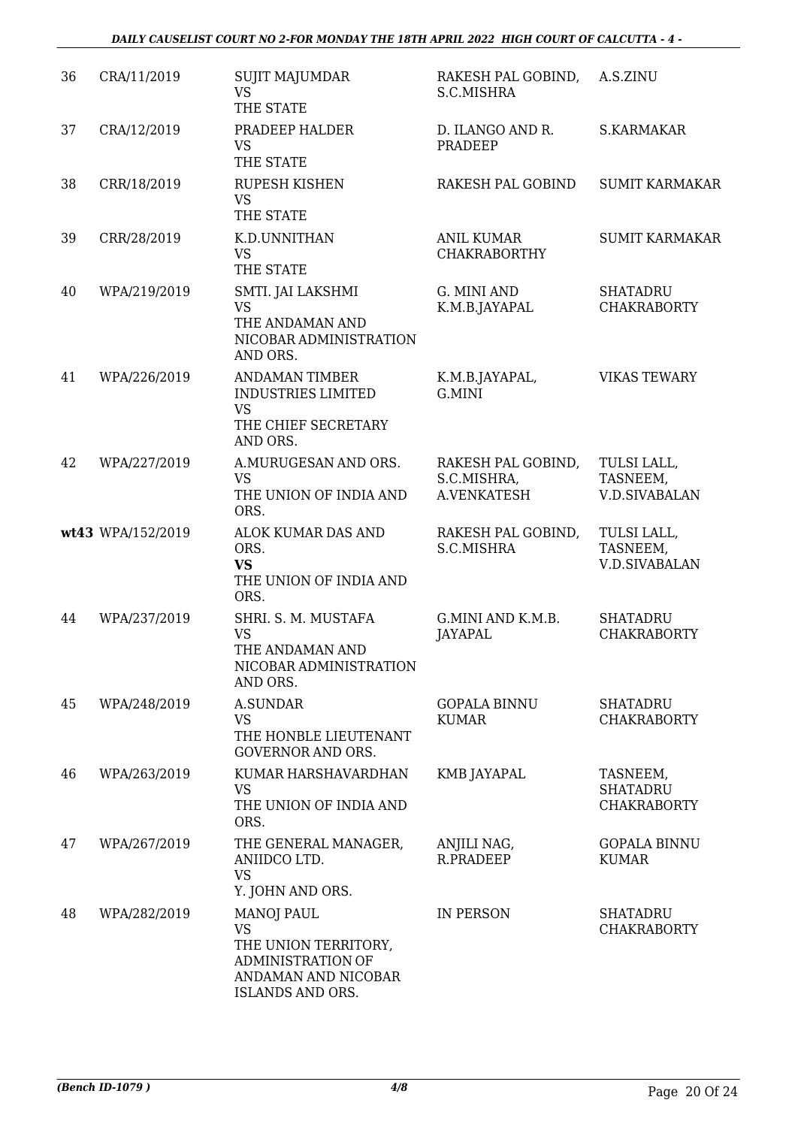| 36 | CRA/11/2019       | <b>SUJIT MAJUMDAR</b><br><b>VS</b><br>THE STATE                                                                               | RAKESH PAL GOBIND,<br>S.C.MISHRA                 | A.S.ZINU                                          |
|----|-------------------|-------------------------------------------------------------------------------------------------------------------------------|--------------------------------------------------|---------------------------------------------------|
| 37 | CRA/12/2019       | PRADEEP HALDER<br><b>VS</b><br>THE STATE                                                                                      | D. ILANGO AND R.<br>PRADEEP                      | <b>S.KARMAKAR</b>                                 |
| 38 | CRR/18/2019       | <b>RUPESH KISHEN</b><br><b>VS</b><br>THE STATE                                                                                | RAKESH PAL GOBIND                                | <b>SUMIT KARMAKAR</b>                             |
| 39 | CRR/28/2019       | K.D.UNNITHAN<br><b>VS</b><br>THE STATE                                                                                        | <b>ANIL KUMAR</b><br><b>CHAKRABORTHY</b>         | <b>SUMIT KARMAKAR</b>                             |
| 40 | WPA/219/2019      | SMTI. JAI LAKSHMI<br><b>VS</b><br>THE ANDAMAN AND<br>NICOBAR ADMINISTRATION<br>AND ORS.                                       | G. MINI AND<br>K.M.B.JAYAPAL                     | <b>SHATADRU</b><br><b>CHAKRABORTY</b>             |
| 41 | WPA/226/2019      | <b>ANDAMAN TIMBER</b><br><b>INDUSTRIES LIMITED</b><br><b>VS</b><br>THE CHIEF SECRETARY<br>AND ORS.                            | K.M.B.JAYAPAL,<br>G.MINI                         | <b>VIKAS TEWARY</b>                               |
| 42 | WPA/227/2019      | A.MURUGESAN AND ORS.<br><b>VS</b><br>THE UNION OF INDIA AND<br>ORS.                                                           | RAKESH PAL GOBIND,<br>S.C.MISHRA,<br>A.VENKATESH | TULSI LALL,<br>TASNEEM,<br><b>V.D.SIVABALAN</b>   |
|    | wt43 WPA/152/2019 | ALOK KUMAR DAS AND<br>ORS.<br><b>VS</b><br>THE UNION OF INDIA AND<br>ORS.                                                     | RAKESH PAL GOBIND,<br>S.C.MISHRA                 | TULSI LALL,<br>TASNEEM,<br><b>V.D.SIVABALAN</b>   |
| 44 | WPA/237/2019      | SHRI. S. M. MUSTAFA<br><b>VS</b><br>THE ANDAMAN AND<br>NICOBAR ADMINISTRATION<br>AND ORS.                                     | G.MINI AND K.M.B.<br><b>JAYAPAL</b>              | <b>SHATADRU</b><br><b>CHAKRABORTY</b>             |
| 45 | WPA/248/2019      | <b>A.SUNDAR</b><br><b>VS</b><br>THE HONBLE LIEUTENANT<br><b>GOVERNOR AND ORS.</b>                                             | <b>GOPALA BINNU</b><br><b>KUMAR</b>              | <b>SHATADRU</b><br><b>CHAKRABORTY</b>             |
| 46 | WPA/263/2019      | KUMAR HARSHAVARDHAN<br><b>VS</b><br>THE UNION OF INDIA AND<br>ORS.                                                            | KMB JAYAPAL                                      | TASNEEM,<br><b>SHATADRU</b><br><b>CHAKRABORTY</b> |
| 47 | WPA/267/2019      | THE GENERAL MANAGER,<br>ANIIDCO LTD.<br>VS<br>Y. JOHN AND ORS.                                                                | ANJILI NAG,<br><b>R.PRADEEP</b>                  | <b>GOPALA BINNU</b><br><b>KUMAR</b>               |
| 48 | WPA/282/2019      | <b>MANOJ PAUL</b><br><b>VS</b><br>THE UNION TERRITORY,<br><b>ADMINISTRATION OF</b><br>ANDAMAN AND NICOBAR<br>ISLANDS AND ORS. | IN PERSON                                        | <b>SHATADRU</b><br><b>CHAKRABORTY</b>             |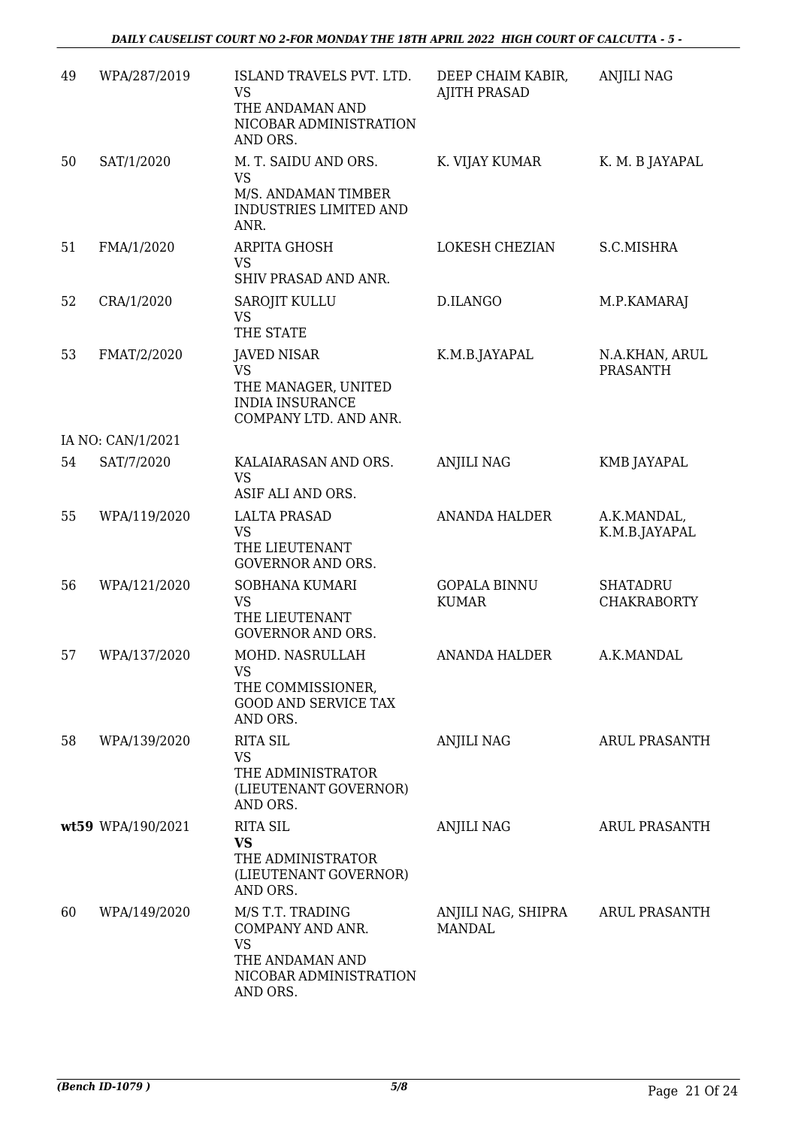| 49 | WPA/287/2019      | ISLAND TRAVELS PVT. LTD.<br><b>VS</b><br>THE ANDAMAN AND<br>NICOBAR ADMINISTRATION<br>AND ORS.             | DEEP CHAIM KABIR,<br><b>AJITH PRASAD</b> | <b>ANJILI NAG</b>                     |
|----|-------------------|------------------------------------------------------------------------------------------------------------|------------------------------------------|---------------------------------------|
| 50 | SAT/1/2020        | M. T. SAIDU AND ORS.<br><b>VS</b><br>M/S. ANDAMAN TIMBER<br><b>INDUSTRIES LIMITED AND</b><br>ANR.          | K. VIJAY KUMAR                           | K. M. B JAYAPAL                       |
| 51 | FMA/1/2020        | <b>ARPITA GHOSH</b><br><b>VS</b><br>SHIV PRASAD AND ANR.                                                   | LOKESH CHEZIAN                           | S.C.MISHRA                            |
| 52 | CRA/1/2020        | <b>SAROJIT KULLU</b><br><b>VS</b><br>THE STATE                                                             | D.ILANGO                                 | M.P.KAMARAJ                           |
| 53 | FMAT/2/2020       | <b>JAVED NISAR</b><br><b>VS</b><br>THE MANAGER, UNITED<br><b>INDIA INSURANCE</b><br>COMPANY LTD. AND ANR.  | K.M.B.JAYAPAL                            | N.A.KHAN, ARUL<br><b>PRASANTH</b>     |
|    | IA NO: CAN/1/2021 |                                                                                                            |                                          |                                       |
| 54 | SAT/7/2020        | KALAIARASAN AND ORS.<br><b>VS</b><br>ASIF ALI AND ORS.                                                     | <b>ANJILI NAG</b>                        | <b>KMB JAYAPAL</b>                    |
| 55 | WPA/119/2020      | <b>LALTA PRASAD</b><br><b>VS</b><br>THE LIEUTENANT<br><b>GOVERNOR AND ORS.</b>                             | <b>ANANDA HALDER</b>                     | A.K.MANDAL,<br>K.M.B.JAYAPAL          |
| 56 | WPA/121/2020      | SOBHANA KUMARI<br><b>VS</b><br>THE LIEUTENANT<br><b>GOVERNOR AND ORS.</b>                                  | <b>GOPALA BINNU</b><br><b>KUMAR</b>      | <b>SHATADRU</b><br><b>CHAKRABORTY</b> |
| 57 | WPA/137/2020      | MOHD. NASRULLAH<br>VS<br>THE COMMISSIONER,<br><b>GOOD AND SERVICE TAX</b><br>AND ORS.                      | <b>ANANDA HALDER</b>                     | A.K.MANDAL                            |
| 58 | WPA/139/2020      | <b>RITA SIL</b><br><b>VS</b><br>THE ADMINISTRATOR<br>(LIEUTENANT GOVERNOR)<br>AND ORS.                     | <b>ANJILI NAG</b>                        | <b>ARUL PRASANTH</b>                  |
|    | wt59 WPA/190/2021 | <b>RITA SIL</b><br><b>VS</b><br>THE ADMINISTRATOR<br>(LIEUTENANT GOVERNOR)<br>AND ORS.                     | <b>ANJILI NAG</b>                        | <b>ARUL PRASANTH</b>                  |
| 60 | WPA/149/2020      | M/S T.T. TRADING<br>COMPANY AND ANR.<br><b>VS</b><br>THE ANDAMAN AND<br>NICOBAR ADMINISTRATION<br>AND ORS. | ANJILI NAG, SHIPRA<br><b>MANDAL</b>      | ARUL PRASANTH                         |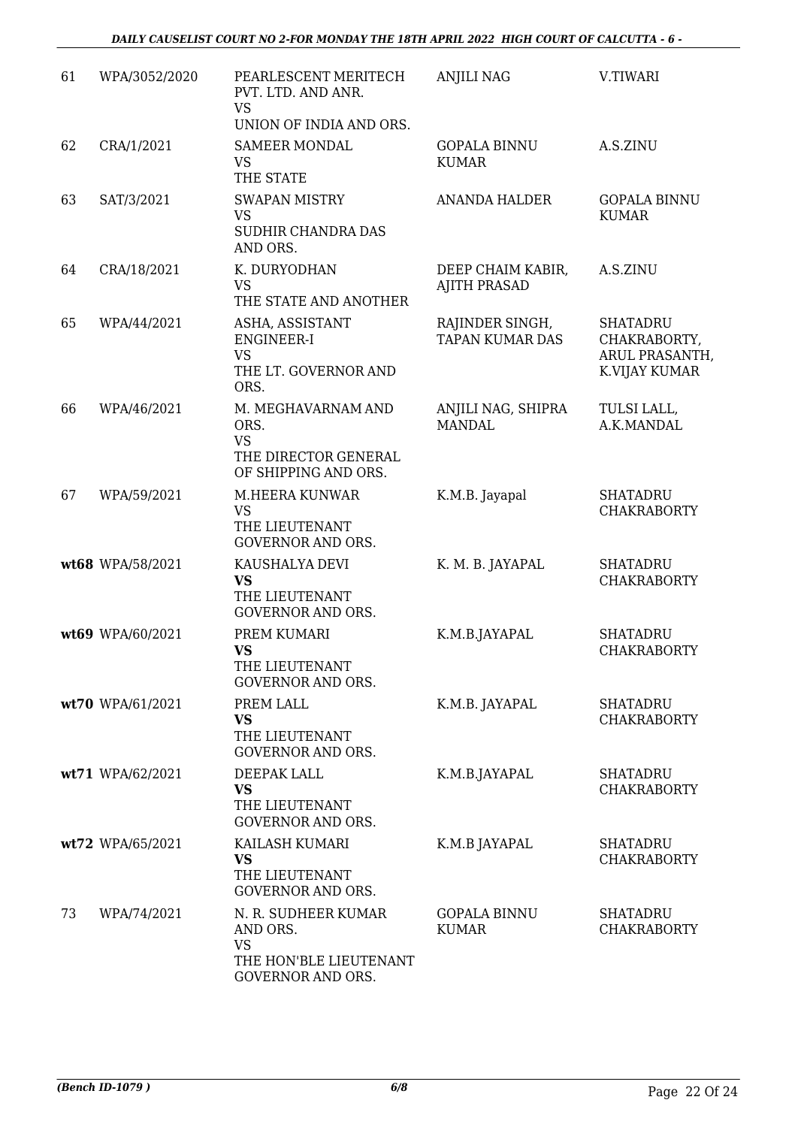| 61 | WPA/3052/2020    | PEARLESCENT MERITECH<br>PVT. LTD. AND ANR.<br><b>VS</b><br>UNION OF INDIA AND ORS.          | <b>ANJILI NAG</b>                         | V.TIWARI                                                           |
|----|------------------|---------------------------------------------------------------------------------------------|-------------------------------------------|--------------------------------------------------------------------|
| 62 | CRA/1/2021       | <b>SAMEER MONDAL</b><br><b>VS</b><br>THE STATE                                              | <b>GOPALA BINNU</b><br><b>KUMAR</b>       | A.S.ZINU                                                           |
| 63 | SAT/3/2021       | <b>SWAPAN MISTRY</b><br><b>VS</b><br>SUDHIR CHANDRA DAS<br>AND ORS.                         | <b>ANANDA HALDER</b>                      | <b>GOPALA BINNU</b><br><b>KUMAR</b>                                |
| 64 | CRA/18/2021      | K. DURYODHAN<br><b>VS</b><br>THE STATE AND ANOTHER                                          | DEEP CHAIM KABIR,<br><b>AJITH PRASAD</b>  | A.S.ZINU                                                           |
| 65 | WPA/44/2021      | ASHA, ASSISTANT<br><b>ENGINEER-I</b><br><b>VS</b><br>THE LT. GOVERNOR AND<br>ORS.           | RAJINDER SINGH,<br><b>TAPAN KUMAR DAS</b> | <b>SHATADRU</b><br>CHAKRABORTY,<br>ARUL PRASANTH,<br>K.VIJAY KUMAR |
| 66 | WPA/46/2021      | M. MEGHAVARNAM AND<br>ORS.<br><b>VS</b><br>THE DIRECTOR GENERAL<br>OF SHIPPING AND ORS.     | ANJILI NAG, SHIPRA<br><b>MANDAL</b>       | TULSI LALL,<br>A.K.MANDAL                                          |
| 67 | WPA/59/2021      | M.HEERA KUNWAR<br><b>VS</b><br>THE LIEUTENANT<br><b>GOVERNOR AND ORS.</b>                   | K.M.B. Jayapal                            | <b>SHATADRU</b><br><b>CHAKRABORTY</b>                              |
|    | wt68 WPA/58/2021 | KAUSHALYA DEVI<br><b>VS</b><br>THE LIEUTENANT<br><b>GOVERNOR AND ORS.</b>                   | K. M. B. JAYAPAL                          | <b>SHATADRU</b><br><b>CHAKRABORTY</b>                              |
|    | wt69 WPA/60/2021 | PREM KUMARI<br><b>VS</b><br>THE LIEUTENANT<br><b>GOVERNOR AND ORS.</b>                      | K.M.B.JAYAPAL                             | <b>SHATADRU</b><br><b>CHAKRABORTY</b>                              |
|    | wt70 WPA/61/2021 | PREM LALL<br><b>VS</b><br>THE LIEUTENANT<br><b>GOVERNOR AND ORS.</b>                        | K.M.B. JAYAPAL                            | <b>SHATADRU</b><br><b>CHAKRABORTY</b>                              |
|    | wt71 WPA/62/2021 | DEEPAK LALL<br><b>VS</b><br>THE LIEUTENANT<br><b>GOVERNOR AND ORS.</b>                      | K.M.B.JAYAPAL                             | <b>SHATADRU</b><br><b>CHAKRABORTY</b>                              |
|    | wt72 WPA/65/2021 | KAILASH KUMARI<br><b>VS</b><br>THE LIEUTENANT<br><b>GOVERNOR AND ORS.</b>                   | K.M.B JAYAPAL                             | <b>SHATADRU</b><br><b>CHAKRABORTY</b>                              |
| 73 | WPA/74/2021      | N. R. SUDHEER KUMAR<br>AND ORS.<br><b>VS</b><br>THE HON'BLE LIEUTENANT<br>GOVERNOR AND ORS. | <b>GOPALA BINNU</b><br><b>KUMAR</b>       | <b>SHATADRU</b><br><b>CHAKRABORTY</b>                              |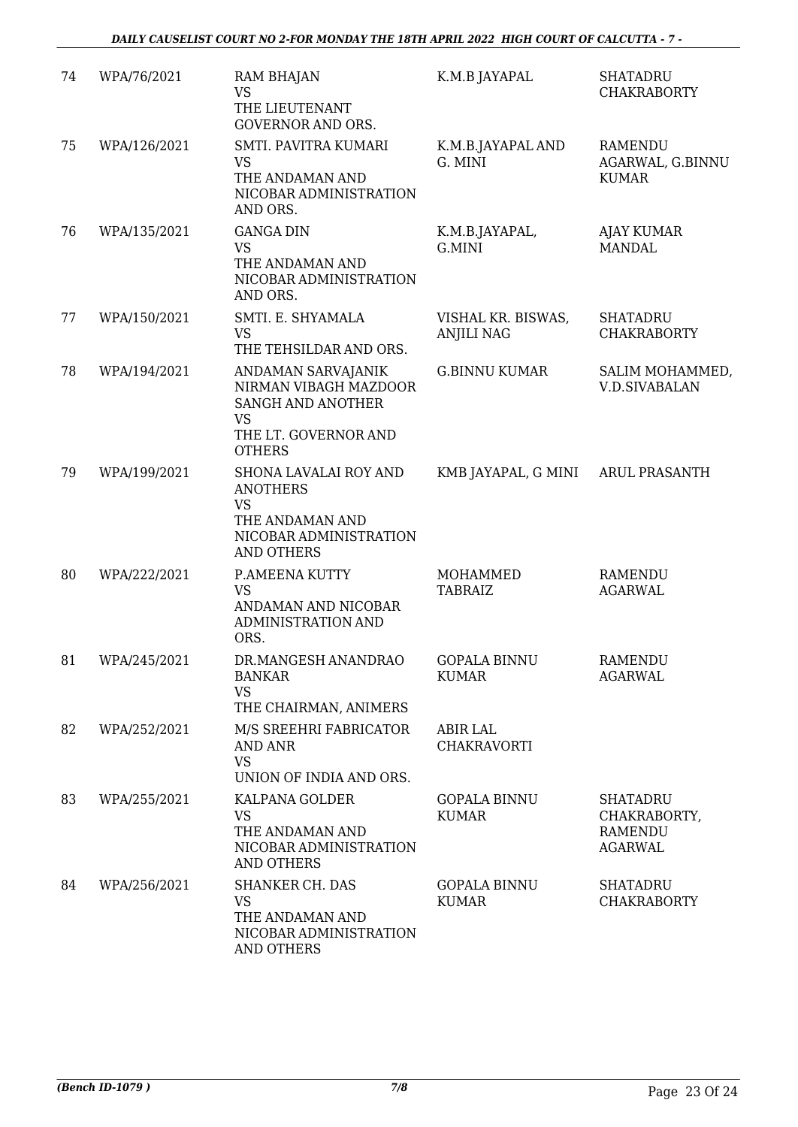| 74 | WPA/76/2021     | <b>RAM BHAJAN</b><br><b>VS</b>                                                                                                | K.M.B JAYAPAL                           | <b>SHATADRU</b><br><b>CHAKRABORTY</b>                               |
|----|-----------------|-------------------------------------------------------------------------------------------------------------------------------|-----------------------------------------|---------------------------------------------------------------------|
|    |                 | THE LIEUTENANT<br><b>GOVERNOR AND ORS.</b>                                                                                    |                                         |                                                                     |
| 75 | WPA/126/2021    | <b>SMTI. PAVITRA KUMARI</b><br><b>VS</b><br>THE ANDAMAN AND<br>NICOBAR ADMINISTRATION<br>AND ORS.                             | K.M.B.JAYAPAL AND<br>G. MINI            | <b>RAMENDU</b><br>AGARWAL, G.BINNU<br><b>KUMAR</b>                  |
| 76 | WPA/135/2021    | <b>GANGA DIN</b><br><b>VS</b><br>THE ANDAMAN AND<br>NICOBAR ADMINISTRATION<br>AND ORS.                                        | K.M.B.JAYAPAL,<br>G.MINI                | <b>AJAY KUMAR</b><br><b>MANDAL</b>                                  |
| 77 | WPA/150/2021    | SMTI. E. SHYAMALA<br><b>VS</b><br>THE TEHSILDAR AND ORS.                                                                      | VISHAL KR. BISWAS,<br><b>ANJILI NAG</b> | <b>SHATADRU</b><br><b>CHAKRABORTY</b>                               |
| 78 | WPA/194/2021    | ANDAMAN SARVAJANIK<br>NIRMAN VIBAGH MAZDOOR<br><b>SANGH AND ANOTHER</b><br><b>VS</b><br>THE LT. GOVERNOR AND<br><b>OTHERS</b> | <b>G.BINNU KUMAR</b>                    | SALIM MOHAMMED,<br><b>V.D.SIVABALAN</b>                             |
| 79 | WPA/199/2021    | SHONA LAVALAI ROY AND<br><b>ANOTHERS</b><br><b>VS</b><br>THE ANDAMAN AND<br>NICOBAR ADMINISTRATION<br><b>AND OTHERS</b>       | KMB JAYAPAL, G MINI                     | <b>ARUL PRASANTH</b>                                                |
| 80 | WPA/222/2021    | P.AMEENA KUTTY<br><b>VS</b><br>ANDAMAN AND NICOBAR<br><b>ADMINISTRATION AND</b><br>ORS.                                       | MOHAMMED<br><b>TABRAIZ</b>              | <b>RAMENDU</b><br><b>AGARWAL</b>                                    |
|    | 81 WPA/245/2021 | DR.MANGESH ANANDRAO GOPALA BINNU<br><b>BANKAR</b><br><b>VS</b><br>THE CHAIRMAN, ANIMERS                                       | KUMAR                                   | <b>RAMENDU</b><br><b>AGARWAL</b>                                    |
| 82 | WPA/252/2021    | M/S SREEHRI FABRICATOR<br><b>AND ANR</b><br><b>VS</b><br>UNION OF INDIA AND ORS.                                              | ABIR LAL<br><b>CHAKRAVORTI</b>          |                                                                     |
| 83 | WPA/255/2021    | KALPANA GOLDER<br>VS<br>THE ANDAMAN AND<br>NICOBAR ADMINISTRATION<br><b>AND OTHERS</b>                                        | <b>GOPALA BINNU</b><br><b>KUMAR</b>     | <b>SHATADRU</b><br>CHAKRABORTY,<br><b>RAMENDU</b><br><b>AGARWAL</b> |
| 84 | WPA/256/2021    | <b>SHANKER CH. DAS</b><br><b>VS</b><br>THE ANDAMAN AND<br>NICOBAR ADMINISTRATION<br><b>AND OTHERS</b>                         | <b>GOPALA BINNU</b><br>KUMAR            | <b>SHATADRU</b><br><b>CHAKRABORTY</b>                               |